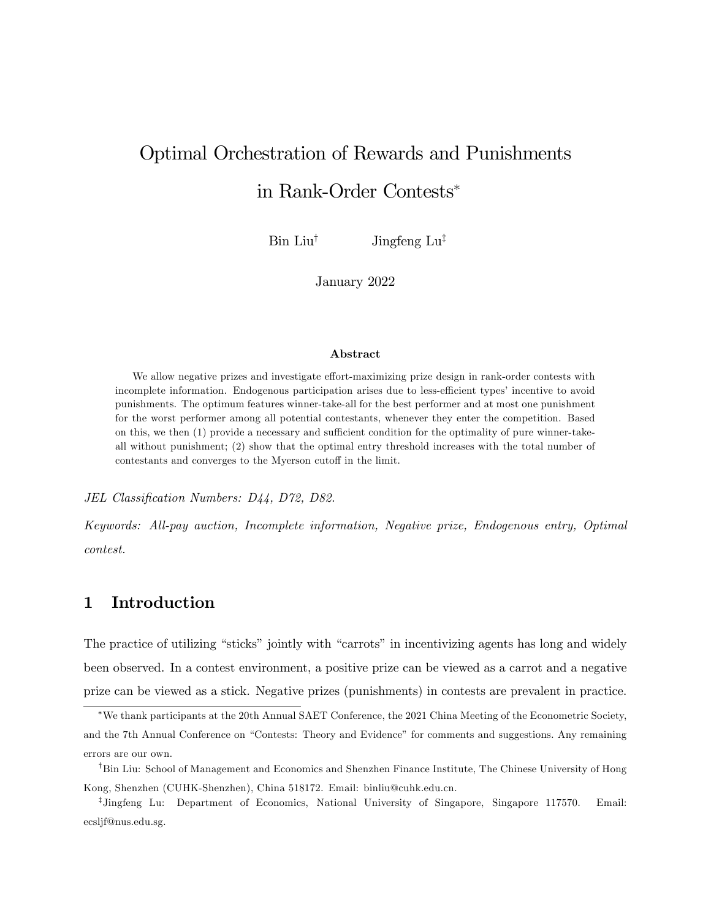# <span id="page-0-0"></span>Optimal Orchestration of Rewards and Punishments in Rank-Order Contests

 $\text{Bin Liu}^{\dagger}$  Jingfeng  $\text{Lu}^{\dagger}$ 

January 2022

#### Abstract

We allow negative prizes and investigate effort-maximizing prize design in rank-order contests with incomplete information. Endogenous participation arises due to less-efficient types' incentive to avoid punishments. The optimum features winner-take-all for the best performer and at most one punishment for the worst performer among all potential contestants, whenever they enter the competition. Based on this, we then  $(1)$  provide a necessary and sufficient condition for the optimality of pure winner-takeall without punishment; (2) show that the optimal entry threshold increases with the total number of contestants and converges to the Myerson cutoff in the limit.

JEL Classification Numbers: D44, D72, D82.

Keywords: All-pay auction, Incomplete information, Negative prize, Endogenous entry, Optimal contest.

## 1 Introduction

The practice of utilizing "sticks" jointly with "carrots" in incentivizing agents has long and widely been observed. In a contest environment, a positive prize can be viewed as a carrot and a negative prize can be viewed as a stick. Negative prizes (punishments) in contests are prevalent in practice.

We thank participants at the 20th Annual SAET Conference, the 2021 China Meeting of the Econometric Society, and the 7th Annual Conference on "Contests: Theory and Evidence" for comments and suggestions. Any remaining errors are our own.

<sup>&</sup>lt;sup>†</sup>Bin Liu: School of Management and Economics and Shenzhen Finance Institute, The Chinese University of Hong Kong, Shenzhen (CUHK-Shenzhen), China 518172. Email: binliu@cuhk.edu.cn.

z Jingfeng Lu: Department of Economics, National University of Singapore, Singapore 117570. Email: ecsljf@nus.edu.sg.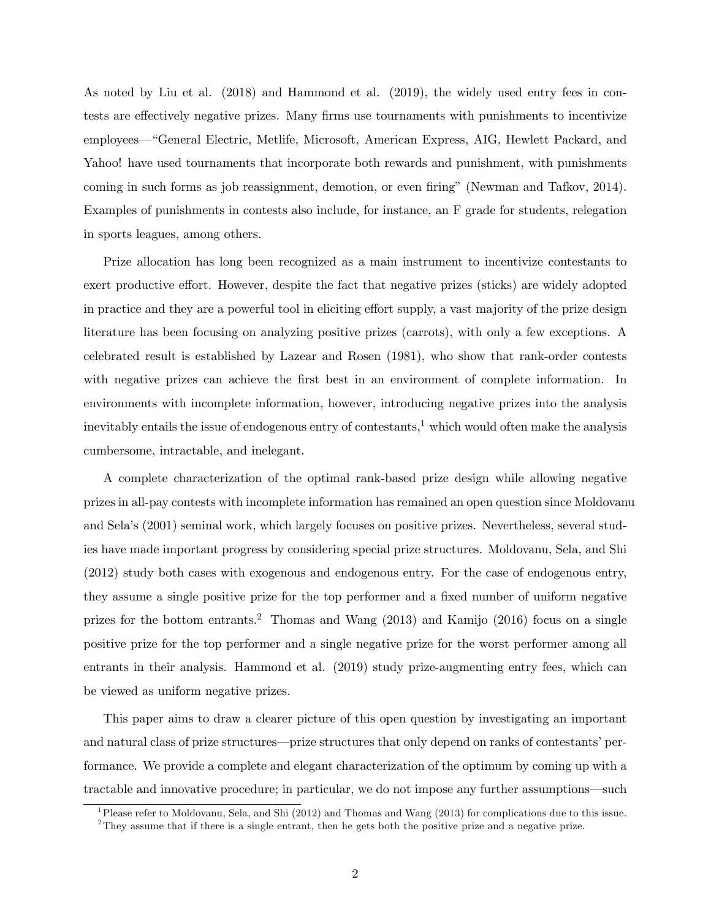As noted by Liu et al. (2018) and Hammond et al. (2019), the widely used entry fees in contests are effectively negative prizes. Many firms use tournaments with punishments to incentivize employees—"General Electric, Metlife, Microsoft, American Express, AIG, Hewlett Packard, and Yahoo! have used tournaments that incorporate both rewards and punishment, with punishments coming in such forms as job reassignment, demotion, or even firing" (Newman and Tafkov, 2014). Examples of punishments in contests also include, for instance, an F grade for students, relegation in sports leagues, among others.

Prize allocation has long been recognized as a main instrument to incentivize contestants to exert productive effort. However, despite the fact that negative prizes (sticks) are widely adopted in practice and they are a powerful tool in eliciting effort supply, a vast majority of the prize design literature has been focusing on analyzing positive prizes (carrots), with only a few exceptions. A celebrated result is established by Lazear and Rosen (1981), who show that rank-order contests with negative prizes can achieve the first best in an environment of complete information. In environments with incomplete information, however, introducing negative prizes into the analysis inevitably entails the issue of endogenous entry of contestants,  $\frac{1}{2}$  $\frac{1}{2}$  $\frac{1}{2}$  which would often make the analysis cumbersome, intractable, and inelegant.

A complete characterization of the optimal rank-based prize design while allowing negative prizes in all-pay contests with incomplete information has remained an open question since Moldovanu and Selaís (2001) seminal work, which largely focuses on positive prizes. Nevertheless, several studies have made important progress by considering special prize structures. Moldovanu, Sela, and Shi (2012) study both cases with exogenous and endogenous entry. For the case of endogenous entry, they assume a single positive prize for the top performer and a fixed number of uniform negative prizes for the bottom entrants.<sup>[2](#page-0-0)</sup> Thomas and Wang  $(2013)$  and Kamijo  $(2016)$  focus on a single positive prize for the top performer and a single negative prize for the worst performer among all entrants in their analysis. Hammond et al. (2019) study prize-augmenting entry fees, which can be viewed as uniform negative prizes.

This paper aims to draw a clearer picture of this open question by investigating an important and natural class of prize structures—prize structures that only depend on ranks of contestants' performance. We provide a complete and elegant characterization of the optimum by coming up with a tractable and innovative procedure; in particular, we do not impose any further assumptions—such

<sup>1</sup>Please refer to Moldovanu, Sela, and Shi (2012) and Thomas and Wang (2013) for complications due to this issue.

<sup>&</sup>lt;sup>2</sup>They assume that if there is a single entrant, then he gets both the positive prize and a negative prize.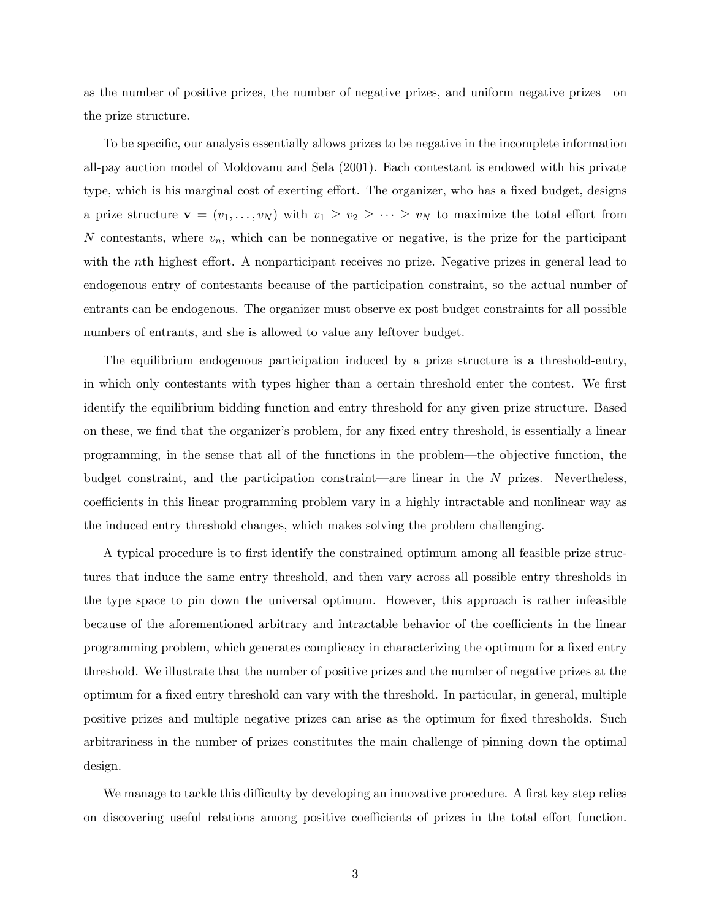as the number of positive prizes, the number of negative prizes, and uniform negative prizes—on the prize structure.

To be specific, our analysis essentially allows prizes to be negative in the incomplete information all-pay auction model of Moldovanu and Sela (2001). Each contestant is endowed with his private type, which is his marginal cost of exerting effort. The organizer, who has a fixed budget, designs a prize structure  $\mathbf{v} = (v_1, \ldots, v_N)$  with  $v_1 \ge v_2 \ge \cdots \ge v_N$  to maximize the total effort from N contestants, where  $v_n$ , which can be nonnegative or negative, is the prize for the participant with the nth highest effort. A nonparticipant receives no prize. Negative prizes in general lead to endogenous entry of contestants because of the participation constraint, so the actual number of entrants can be endogenous. The organizer must observe ex post budget constraints for all possible numbers of entrants, and she is allowed to value any leftover budget.

The equilibrium endogenous participation induced by a prize structure is a threshold-entry, in which only contestants with types higher than a certain threshold enter the contest. We first identify the equilibrium bidding function and entry threshold for any given prize structure. Based on these, we find that the organizer's problem, for any fixed entry threshold, is essentially a linear programming, in the sense that all of the functions in the problem—the objective function, the budget constraint, and the participation constraint—are linear in the  $N$  prizes. Nevertheless, coefficients in this linear programming problem vary in a highly intractable and nonlinear way as the induced entry threshold changes, which makes solving the problem challenging.

A typical procedure is to Örst identify the constrained optimum among all feasible prize structures that induce the same entry threshold, and then vary across all possible entry thresholds in the type space to pin down the universal optimum. However, this approach is rather infeasible because of the aforementioned arbitrary and intractable behavior of the coefficients in the linear programming problem, which generates complicacy in characterizing the optimum for a fixed entry threshold. We illustrate that the number of positive prizes and the number of negative prizes at the optimum for a fixed entry threshold can vary with the threshold. In particular, in general, multiple positive prizes and multiple negative prizes can arise as the optimum for fixed thresholds. Such arbitrariness in the number of prizes constitutes the main challenge of pinning down the optimal design.

We manage to tackle this difficulty by developing an innovative procedure. A first key step relies on discovering useful relations among positive coefficients of prizes in the total effort function.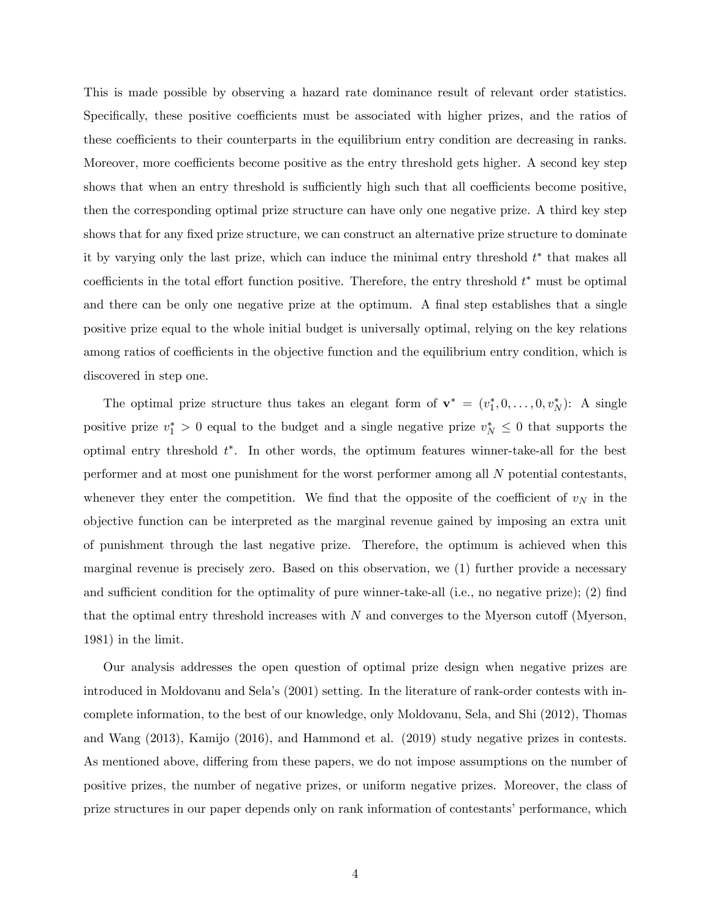This is made possible by observing a hazard rate dominance result of relevant order statistics. Specifically, these positive coefficients must be associated with higher prizes, and the ratios of these coefficients to their counterparts in the equilibrium entry condition are decreasing in ranks. Moreover, more coefficients become positive as the entry threshold gets higher. A second key step shows that when an entry threshold is sufficiently high such that all coefficients become positive, then the corresponding optimal prize structure can have only one negative prize. A third key step shows that for any fixed prize structure, we can construct an alternative prize structure to dominate it by varying only the last prize, which can induce the minimal entry threshold  $t^*$  that makes all coefficients in the total effort function positive. Therefore, the entry threshold  $t^*$  must be optimal and there can be only one negative prize at the optimum. A final step establishes that a single positive prize equal to the whole initial budget is universally optimal, relying on the key relations among ratios of coefficients in the objective function and the equilibrium entry condition, which is discovered in step one.

The optimal prize structure thus takes an elegant form of  $\mathbf{v}^* = (v_1^*, 0, \ldots, 0, v_N^*)$ : A single positive prize  $v_1^* > 0$  equal to the budget and a single negative prize  $v_N^* \leq 0$  that supports the optimal entry threshold  $t^*$ . In other words, the optimum features winner-take-all for the best performer and at most one punishment for the worst performer among all N potential contestants, whenever they enter the competition. We find that the opposite of the coefficient of  $v<sub>N</sub>$  in the objective function can be interpreted as the marginal revenue gained by imposing an extra unit of punishment through the last negative prize. Therefore, the optimum is achieved when this marginal revenue is precisely zero. Based on this observation, we (1) further provide a necessary and sufficient condition for the optimality of pure winner-take-all (i.e., no negative prize); (2) find that the optimal entry threshold increases with  $N$  and converges to the Myerson cutoff (Myerson, 1981) in the limit.

Our analysis addresses the open question of optimal prize design when negative prizes are introduced in Moldovanu and Selaís (2001) setting. In the literature of rank-order contests with incomplete information, to the best of our knowledge, only Moldovanu, Sela, and Shi (2012), Thomas and Wang (2013), Kamijo (2016), and Hammond et al. (2019) study negative prizes in contests. As mentioned above, differing from these papers, we do not impose assumptions on the number of positive prizes, the number of negative prizes, or uniform negative prizes. Moreover, the class of prize structures in our paper depends only on rank information of contestants' performance, which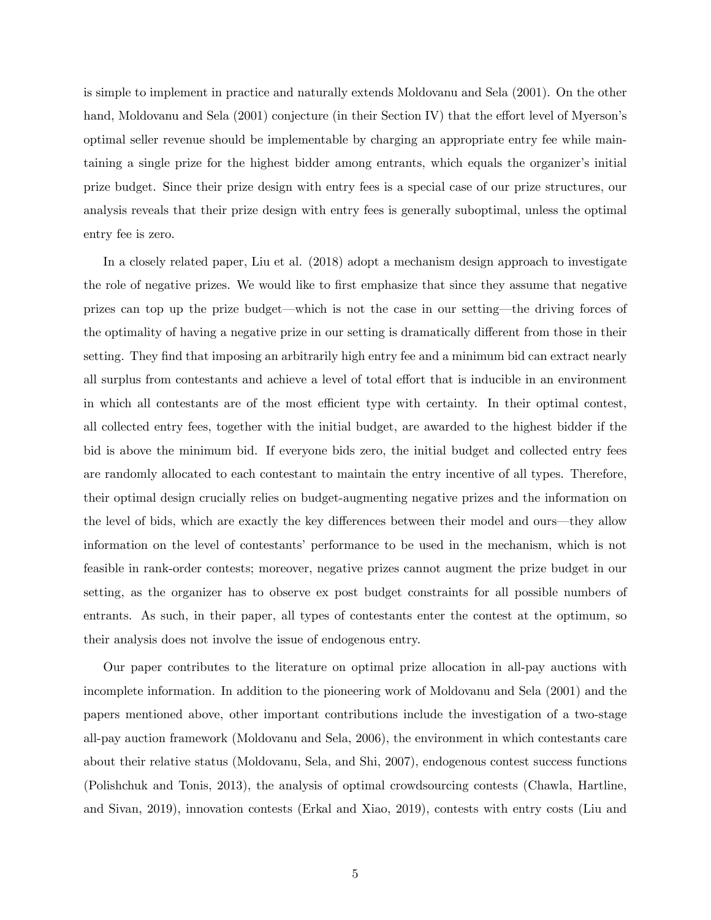is simple to implement in practice and naturally extends Moldovanu and Sela (2001). On the other hand, Moldovanu and Sela  $(2001)$  conjecture (in their Section IV) that the effort level of Myerson's optimal seller revenue should be implementable by charging an appropriate entry fee while maintaining a single prize for the highest bidder among entrants, which equals the organizer's initial prize budget. Since their prize design with entry fees is a special case of our prize structures, our analysis reveals that their prize design with entry fees is generally suboptimal, unless the optimal entry fee is zero.

In a closely related paper, Liu et al. (2018) adopt a mechanism design approach to investigate the role of negative prizes. We would like to first emphasize that since they assume that negative prizes can top up the prize budget—which is not the case in our setting—the driving forces of the optimality of having a negative prize in our setting is dramatically different from those in their setting. They find that imposing an arbitrarily high entry fee and a minimum bid can extract nearly all surplus from contestants and achieve a level of total effort that is inducible in an environment in which all contestants are of the most efficient type with certainty. In their optimal contest, all collected entry fees, together with the initial budget, are awarded to the highest bidder if the bid is above the minimum bid. If everyone bids zero, the initial budget and collected entry fees are randomly allocated to each contestant to maintain the entry incentive of all types. Therefore, their optimal design crucially relies on budget-augmenting negative prizes and the information on the level of bids, which are exactly the key differences between their model and ours—they allow information on the level of contestantsí performance to be used in the mechanism, which is not feasible in rank-order contests; moreover, negative prizes cannot augment the prize budget in our setting, as the organizer has to observe ex post budget constraints for all possible numbers of entrants. As such, in their paper, all types of contestants enter the contest at the optimum, so their analysis does not involve the issue of endogenous entry.

Our paper contributes to the literature on optimal prize allocation in all-pay auctions with incomplete information. In addition to the pioneering work of Moldovanu and Sela (2001) and the papers mentioned above, other important contributions include the investigation of a two-stage all-pay auction framework (Moldovanu and Sela, 2006), the environment in which contestants care about their relative status (Moldovanu, Sela, and Shi, 2007), endogenous contest success functions (Polishchuk and Tonis, 2013), the analysis of optimal crowdsourcing contests (Chawla, Hartline, and Sivan, 2019), innovation contests (Erkal and Xiao, 2019), contests with entry costs (Liu and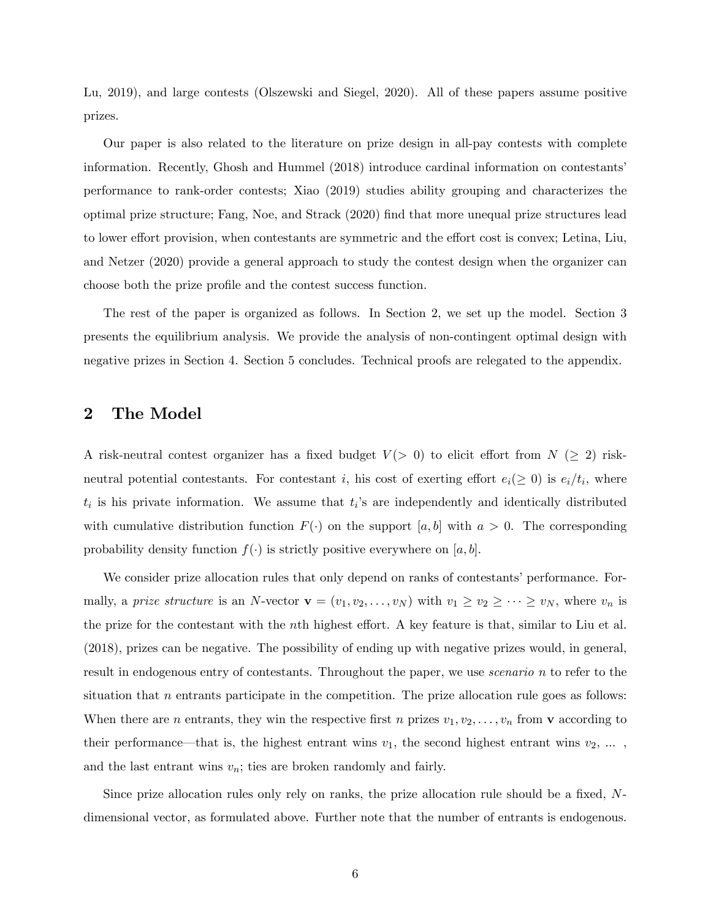Lu, 2019), and large contests (Olszewski and Siegel, 2020). All of these papers assume positive prizes.

Our paper is also related to the literature on prize design in all-pay contests with complete information. Recently, Ghosh and Hummel (2018) introduce cardinal information on contestantsí performance to rank-order contests; Xiao (2019) studies ability grouping and characterizes the optimal prize structure; Fang, Noe, and Strack (2020) Önd that more unequal prize structures lead to lower effort provision, when contestants are symmetric and the effort cost is convex; Letina, Liu, and Netzer (2020) provide a general approach to study the contest design when the organizer can choose both the prize profile and the contest success function.

The rest of the paper is organized as follows. In Section 2, we set up the model. Section 3 presents the equilibrium analysis. We provide the analysis of non-contingent optimal design with negative prizes in Section 4. Section 5 concludes. Technical proofs are relegated to the appendix.

## 2 The Model

A risk-neutral contest organizer has a fixed budget  $V(> 0)$  to elicit effort from  $N (\geq 2)$  riskneutral potential contestants. For contestant i, his cost of exerting effort  $e_i(\geq 0)$  is  $e_i/t_i$ , where  $t_i$  is his private information. We assume that  $t_i$ 's are independently and identically distributed with cumulative distribution function  $F(\cdot)$  on the support [a, b] with  $a > 0$ . The corresponding probability density function  $f(\cdot)$  is strictly positive everywhere on [a, b].

We consider prize allocation rules that only depend on ranks of contestants' performance. Formally, a *prize structure* is an N-vector  $\mathbf{v} = (v_1, v_2, \dots, v_N)$  with  $v_1 \ge v_2 \ge \dots \ge v_N$ , where  $v_n$  is the prize for the contestant with the nth highest effort. A key feature is that, similar to Liu et al. (2018), prizes can be negative. The possibility of ending up with negative prizes would, in general, result in endogenous entry of contestants. Throughout the paper, we use *scenario* n to refer to the situation that  $n$  entrants participate in the competition. The prize allocation rule goes as follows: When there are *n* entrants, they win the respective first *n* prizes  $v_1, v_2, \ldots, v_n$  from **v** according to their performance—that is, the highest entrant wins  $v_1$ , the second highest entrant wins  $v_2, \ldots$ , and the last entrant wins  $v_n$ ; ties are broken randomly and fairly.

Since prize allocation rules only rely on ranks, the prize allocation rule should be a fixed,  $N$ dimensional vector, as formulated above. Further note that the number of entrants is endogenous.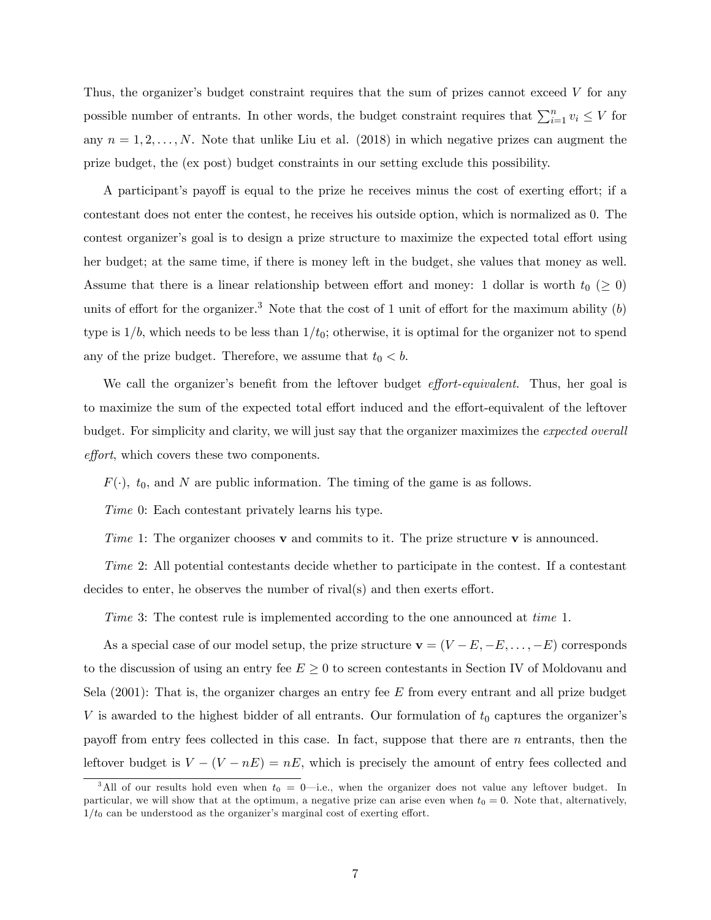Thus, the organizer's budget constraint requires that the sum of prizes cannot exceed  $V$  for any possible number of entrants. In other words, the budget constraint requires that  $\sum_{i=1}^{n} v_i \leq V$  for any  $n = 1, 2, \ldots, N$ . Note that unlike Liu et al. (2018) in which negative prizes can augment the prize budget, the (ex post) budget constraints in our setting exclude this possibility.

A participant's payoff is equal to the prize he receives minus the cost of exerting effort; if a contestant does not enter the contest, he receives his outside option, which is normalized as 0. The contest organizer's goal is to design a prize structure to maximize the expected total effort using her budget; at the same time, if there is money left in the budget, she values that money as well. Assume that there is a linear relationship between effort and money: 1 dollar is worth  $t_0$  ( $\geq 0$ ) units of effort for the organizer.<sup>[3](#page-0-0)</sup> Note that the cost of 1 unit of effort for the maximum ability  $(b)$ type is  $1/b$ , which needs to be less than  $1/t_0$ ; otherwise, it is optimal for the organizer not to spend any of the prize budget. Therefore, we assume that  $t_0 < b$ .

We call the organizer's benefit from the leftover budget *effort-equivalent*. Thus, her goal is to maximize the sum of the expected total effort induced and the effort-equivalent of the leftover budget. For simplicity and clarity, we will just say that the organizer maximizes the expected overall effort, which covers these two components.

 $F(\cdot)$ ,  $t_0$ , and N are public information. The timing of the game is as follows.

Time 0: Each contestant privately learns his type.

Time 1: The organizer chooses  $\bf{v}$  and commits to it. The prize structure  $\bf{v}$  is announced.

Time 2: All potential contestants decide whether to participate in the contest. If a contestant decides to enter, he observes the number of rival(s) and then exerts effort.

Time 3: The contest rule is implemented according to the one announced at time 1.

As a special case of our model setup, the prize structure  $\mathbf{v} = (V - E, -E, \dots, -E)$  corresponds to the discussion of using an entry fee  $E \geq 0$  to screen contestants in Section IV of Moldovanu and Sela  $(2001)$ : That is, the organizer charges an entry fee E from every entrant and all prize budget V is awarded to the highest bidder of all entrants. Our formulation of  $t_0$  captures the organizer's payoff from entry fees collected in this case. In fact, suppose that there are  $n$  entrants, then the leftover budget is  $V - (V - nE) = nE$ , which is precisely the amount of entry fees collected and

<sup>&</sup>lt;sup>3</sup>All of our results hold even when  $t_0 = 0$ —i.e., when the organizer does not value any leftover budget. In particular, we will show that at the optimum, a negative prize can arise even when  $t_0 = 0$ . Note that, alternatively,  $1/t_0$  can be understood as the organizer's marginal cost of exerting effort.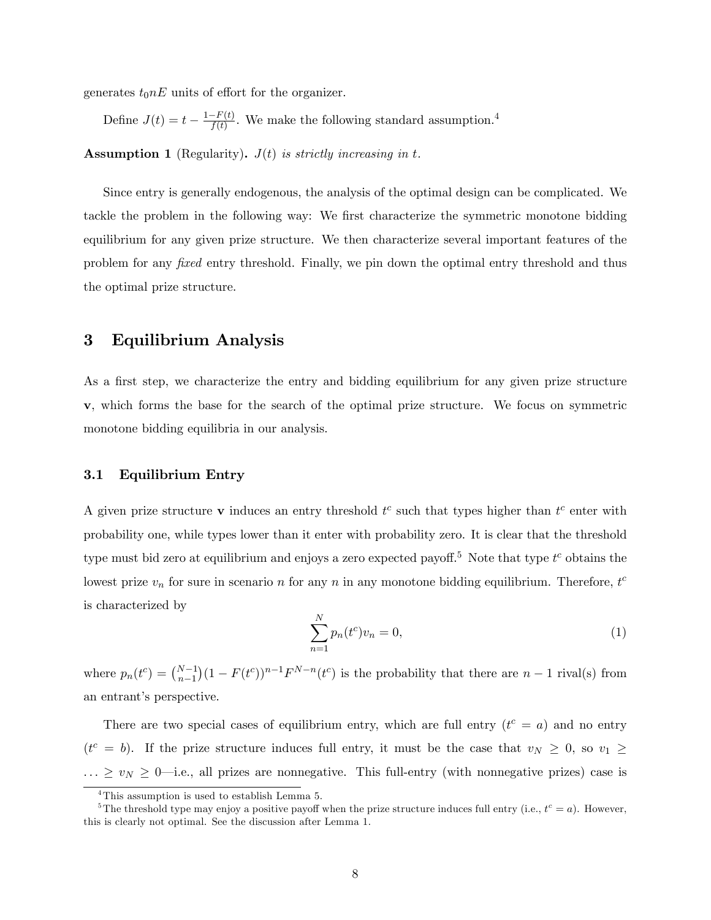generates  $t_0nE$  units of effort for the organizer.

Define  $J(t) = t - \frac{1 - F(t)}{f(t)}$ . We make the following standard assumption.<sup>[4](#page-0-0)</sup>

**Assumption 1** (Regularity).  $J(t)$  is strictly increasing in t.

Since entry is generally endogenous, the analysis of the optimal design can be complicated. We tackle the problem in the following way: We first characterize the symmetric monotone bidding equilibrium for any given prize structure. We then characterize several important features of the problem for any *fixed* entry threshold. Finally, we pin down the optimal entry threshold and thus the optimal prize structure.

## 3 Equilibrium Analysis

As a first step, we characterize the entry and bidding equilibrium for any given prize structure v, which forms the base for the search of the optimal prize structure. We focus on symmetric monotone bidding equilibria in our analysis.

#### 3.1 Equilibrium Entry

A given prize structure v induces an entry threshold  $t^c$  such that types higher than  $t^c$  enter with probability one, while types lower than it enter with probability zero. It is clear that the threshold type must bid zero at equilibrium and enjoys a zero expected payoff.<sup>[5](#page-0-0)</sup> Note that type  $t^c$  obtains the lowest prize  $v_n$  for sure in scenario n for any n in any monotone bidding equilibrium. Therefore,  $t^c$ is characterized by

<span id="page-7-0"></span>
$$
\sum_{n=1}^{N} p_n(t^c) v_n = 0,
$$
\n(1)

where  $p_n(t^c) = \binom{N-1}{n-1}$  $(1 - F(t^c))^{n-1} F^{N-n}(t^c)$  is the probability that there are  $n-1$  rival(s) from an entrant's perspective.

There are two special cases of equilibrium entry, which are full entry  $(t^c = a)$  and no entry  $(t^c = b)$ . If the prize structure induces full entry, it must be the case that  $v_N \geq 0$ , so  $v_1 \geq$  $\ldots \ge v_N \ge 0$ —i.e., all prizes are nonnegative. This full-entry (with nonnegative prizes) case is

<sup>&</sup>lt;sup>4</sup>This assumption is used to establish Lemma [5.](#page-12-0)

<sup>&</sup>lt;sup>5</sup>The threshold type may enjoy a positive payoff when the prize structure induces full entry (i.e.,  $t^c = a$ ). However, this is clearly not optimal. See the discussion after Lemma [1.](#page-8-0)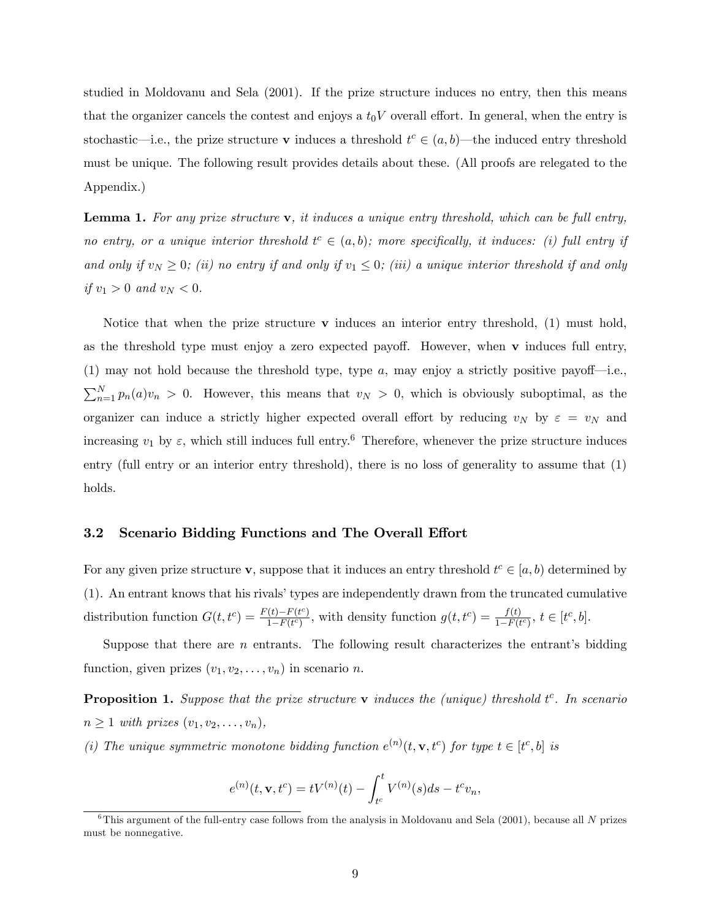studied in Moldovanu and Sela (2001). If the prize structure induces no entry, then this means that the organizer cancels the contest and enjoys a  $t_0V$  overall effort. In general, when the entry is stochastic—i.e., the prize structure **v** induces a threshold  $t^c \in (a, b)$ —the induced entry threshold must be unique. The following result provides details about these. (All proofs are relegated to the Appendix.)

<span id="page-8-0"></span>**Lemma 1.** For any prize structure  $\bf{v}$ , it induces a unique entry threshold, which can be full entry, no entry, or a unique interior threshold  $t^c \in (a, b)$ ; more specifically, it induces: (i) full entry if and only if  $v_N \geq 0$ ; (ii) no entry if and only if  $v_1 \leq 0$ ; (iii) a unique interior threshold if and only if  $v_1 > 0$  and  $v_N < 0$ .

Notice that when the prize structure  $\bf{v}$  induces an interior entry threshold, [\(1\)](#page-7-0) must hold, as the threshold type must enjoy a zero expected payoff. However, when  $\bf{v}$  induces full entry, [\(1\)](#page-7-0) may not hold because the threshold type, type a, may enjoy a strictly positive payof—i.e.,  $\sum_{n=1}^{N} p_n(a)v_n > 0$ . However, this means that  $v_N > 0$ , which is obviously suboptimal, as the organizer can induce a strictly higher expected overall effort by reducing  $v_N$  by  $\varepsilon = v_N$  and increasing  $v_1$  by  $\varepsilon$ , which still induces full entry.<sup>[6](#page-0-0)</sup> Therefore, whenever the prize structure induces entry (full entry or an interior entry threshold), there is no loss of generality to assume that [\(1\)](#page-7-0) holds.

#### 3.2 Scenario Bidding Functions and The Overall Effort

For any given prize structure **v**, suppose that it induces an entry threshold  $t^c \in [a, b)$  determined by  $(1)$ . An entrant knows that his rivals' types are independently drawn from the truncated cumulative distribution function  $G(t, t^c) = \frac{F(t) - F(t^c)}{1 - F(t^c)}$  $\frac{f(t)-F(t^c)}{1-F(t^c)}$ , with density function  $g(t,t^c) = \frac{f(t)}{1-F(t^c)}$ ,  $t \in [t^c, b]$ .

Suppose that there are  $n$  entrants. The following result characterizes the entrant's bidding function, given prizes  $(v_1, v_2, \ldots, v_n)$  in scenario n.

<span id="page-8-1"></span>**Proposition 1.** Suppose that the prize structure  $\bf{v}$  induces the (unique) threshold  $t^c$ . In scenario  $n \geq 1$  with prizes  $(v_1, v_2, \ldots, v_n)$ ,

(i) The unique symmetric monotone bidding function  $e^{(n)}(t, \mathbf{v}, t^c)$  for type  $t \in [t^c, b]$  is

$$
e^{(n)}(t, \mathbf{v}, t^c) = tV^{(n)}(t) - \int_{t^c}^t V^{(n)}(s)ds - t^c v_n,
$$

 $6$ This argument of the full-entry case follows from the analysis in Moldovanu and Sela (2001), because all N prizes must be nonnegative.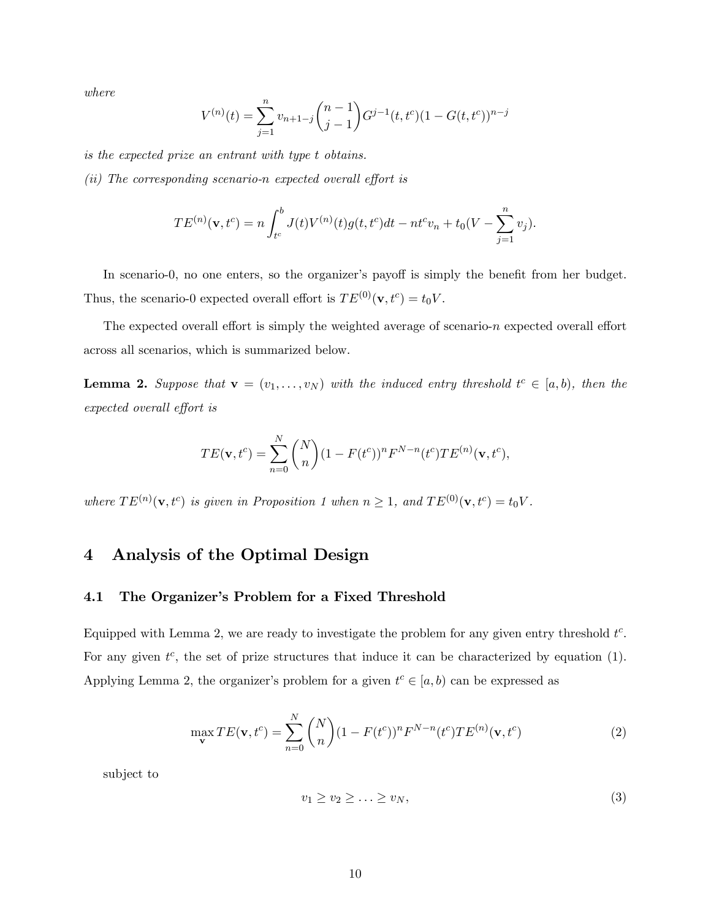where

$$
V^{(n)}(t) = \sum_{j=1}^{n} v_{n+1-j} \binom{n-1}{j-1} G^{j-1}(t, t^c) (1 - G(t, t^c))^{n-j}
$$

is the expected prize an entrant with type t obtains.

 $(ii)$  The corresponding scenario-n expected overall effort is

$$
TE^{(n)}(\mathbf{v},t^c) = n \int_{t^c}^b J(t)V^{(n)}(t)g(t,t^c)dt - nt^cv_n + t_0(V - \sum_{j=1}^n v_j).
$$

In scenario-0, no one enters, so the organizer's payoff is simply the benefit from her budget. Thus, the scenario-0 expected overall effort is  $TE^{(0)}(\mathbf{v}, t^c) = t_0 V$ .

The expected overall effort is simply the weighted average of scenario-n expected overall effort across all scenarios, which is summarized below.

<span id="page-9-0"></span>**Lemma 2.** Suppose that  $\mathbf{v} = (v_1, \ldots, v_N)$  with the induced entry threshold  $t^c \in [a, b)$ , then the expected overall effort is

$$
TE(\mathbf{v}, t^c) = \sum_{n=0}^{N} {N \choose n} (1 - F(t^c))^n F^{N-n}(t^c) TE^{(n)}(\mathbf{v}, t^c),
$$

where  $TE^{(n)}(\mathbf{v}, t^c)$  is given in Proposition [1](#page-8-1) when  $n \geq 1$ , and  $TE^{(0)}(\mathbf{v}, t^c) = t_0 V$ .

# 4 Analysis of the Optimal Design

#### 4.1 The Organizer's Problem for a Fixed Threshold

Equipped with Lemma [2,](#page-9-0) we are ready to investigate the problem for any given entry threshold  $t^c$ . For any given  $t^c$ , the set of prize structures that induce it can be characterized by equation [\(1\)](#page-7-0). Applying Lemma [2,](#page-9-0) the organizer's problem for a given  $t^c \in [a, b)$  can be expressed as

<span id="page-9-1"></span>
$$
\max_{\mathbf{v}} TE(\mathbf{v}, t^c) = \sum_{n=0}^{N} {N \choose n} (1 - F(t^c))^n F^{N-n}(t^c) TE^{(n)}(\mathbf{v}, t^c)
$$
(2)

subject to

$$
v_1 \ge v_2 \ge \ldots \ge v_N,\tag{3}
$$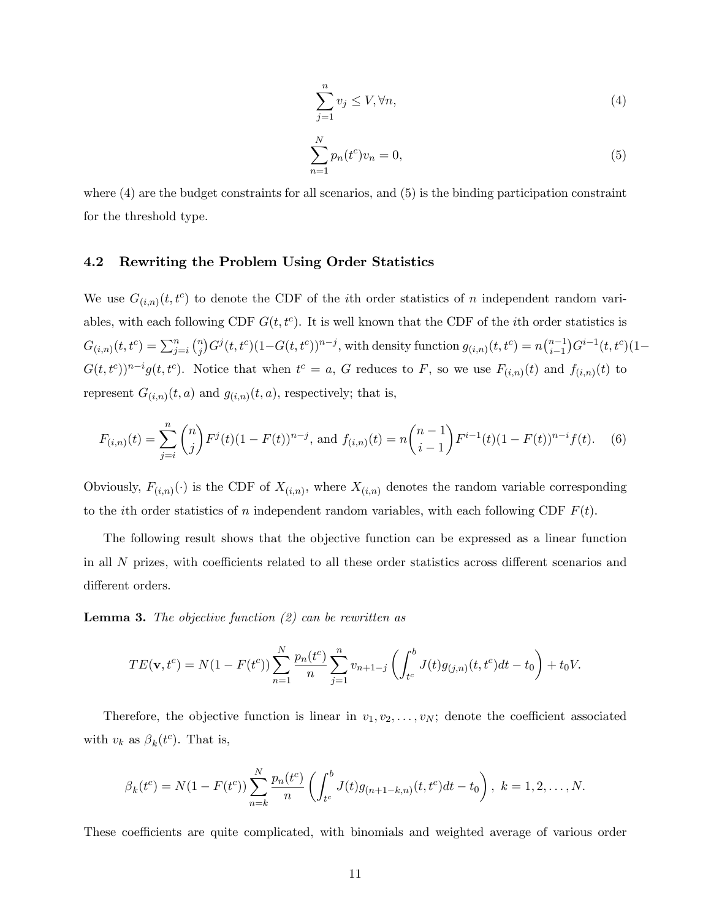<span id="page-10-0"></span>
$$
\sum_{j=1}^{n} v_j \le V, \forall n,\tag{4}
$$

<span id="page-10-1"></span>
$$
\sum_{n=1}^{N} p_n(t^c) v_n = 0,
$$
\n(5)

where  $(4)$  are the budget constraints for all scenarios, and  $(5)$  is the binding participation constraint for the threshold type.

#### 4.2 Rewriting the Problem Using Order Statistics

We use  $G_{(i,n)}(t,t^c)$  to denote the CDF of the *i*th order statistics of *n* independent random variables, with each following CDF  $G(t, t^c)$ . It is well known that the CDF of the *i*th order statistics is  $G_{(i,n)}(t,t^c) = \sum_{j=i}^{n} {n \choose j}$  $\int_{0}^{n} G^{j}(t,t^{c})(1-G(t,t^{c}))^{n-j}$ , with density function  $g_{(i,n)}(t,t^{c}) = n {n-1 \choose i-1}$  $i-1$  $(G^{i-1}(t, t^c)(1 G(t,t^c)^{n-i}g(t,t^c)$ . Notice that when  $t^c = a$ , G reduces to F, so we use  $F_{(i,n)}(t)$  and  $f_{(i,n)}(t)$  to represent  $G_{(i,n)}(t, a)$  and  $g_{(i,n)}(t, a)$ , respectively; that is,

<span id="page-10-2"></span>
$$
F_{(i,n)}(t) = \sum_{j=i}^{n} {n \choose j} F^{j}(t) (1 - F(t))^{n-j}, \text{ and } f_{(i,n)}(t) = n {n-1 \choose i-1} F^{i-1}(t) (1 - F(t))^{n-i} f(t). \tag{6}
$$

Obviously,  $F_{(i,n)}(\cdot)$  is the CDF of  $X_{(i,n)}$ , where  $X_{(i,n)}$  denotes the random variable corresponding to the *i*th order statistics of n independent random variables, with each following CDF  $F(t)$ .

The following result shows that the objective function can be expressed as a linear function in all  $N$  prizes, with coefficients related to all these order statistics across different scenarios and different orders.

<span id="page-10-3"></span>**Lemma 3.** The objective function  $(2)$  can be rewritten as

$$
TE(\mathbf{v}, t^c) = N(1 - F(t^c)) \sum_{n=1}^{N} \frac{p_n(t^c)}{n} \sum_{j=1}^{n} v_{n+1-j} \left( \int_{t^c}^{b} J(t) g_{(j,n)}(t, t^c) dt - t_0 \right) + t_0 V.
$$

Therefore, the objective function is linear in  $v_1, v_2, \ldots, v_N$ ; denote the coefficient associated with  $v_k$  as  $\beta_k(t^c)$ . That is,

$$
\beta_k(t^c) = N(1 - F(t^c)) \sum_{n=k}^{N} \frac{p_n(t^c)}{n} \left( \int_{t^c}^b J(t) g_{(n+1-k,n)}(t, t^c) dt - t_0 \right), \ k = 1, 2, \dots, N.
$$

These coefficients are quite complicated, with binomials and weighted average of various order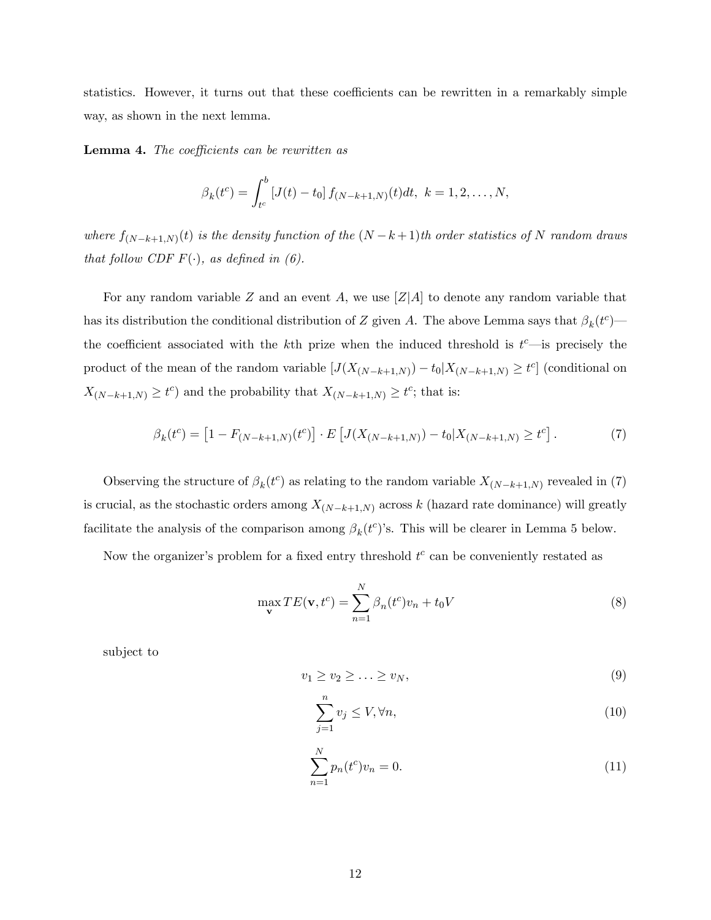statistics. However, it turns out that these coefficients can be rewritten in a remarkably simple way, as shown in the next lemma.

<span id="page-11-4"></span>**Lemma 4.** The coefficients can be rewritten as

$$
\beta_k(t^c) = \int_{t^c}^b [J(t) - t_0] f_{(N-k+1,N)}(t) dt, \ k = 1, 2, ..., N,
$$

where  $f_{(N-k+1,N)}(t)$  is the density function of the  $(N-k+1)$ th order statistics of N random draws that follow CDF  $F(\cdot)$ , as defined in [\(6\)](#page-10-2).

For any random variable Z and an event A, we use  $|Z|A|$  to denote any random variable that has its distribution the conditional distribution of Z given A. The above Lemma says that  $\beta_k(t^c)$ the coefficient associated with the k<sup>th</sup> prize when the induced threshold is  $t^c$ —is precisely the product of the mean of the random variable  $[J(X_{(N-k+1,N)}) - t_0 | X_{(N-k+1,N)} \ge t^c]$  (conditional on  $X_{(N-k+1,N)} \geq t^c$  and the probability that  $X_{(N-k+1,N)} \geq t^c$ ; that is:

<span id="page-11-0"></span>
$$
\beta_k(t^c) = \left[1 - F_{(N-k+1,N)}(t^c)\right] \cdot E\left[J(X_{(N-k+1,N)}) - t_0 | X_{(N-k+1,N)} \ge t^c\right].\tag{7}
$$

Observing the structure of  $\beta_k(t^c)$  as relating to the random variable  $X_{(N-k+1,N)}$  revealed in [\(7\)](#page-11-0) is crucial, as the stochastic orders among  $X_{(N-k+1,N)}$  across k (hazard rate dominance) will greatly facilitate the analysis of the comparison among  $\beta_k(t^c)$ 's. This will be clearer in Lemma [5](#page-12-0) below.

Now the organizer's problem for a fixed entry threshold  $t^c$  can be conveniently restated as

<span id="page-11-1"></span>
$$
\max_{\mathbf{v}} TE(\mathbf{v}, t^c) = \sum_{n=1}^{N} \beta_n(t^c) v_n + t_0 V
$$
\n(8)

subject to

<span id="page-11-3"></span>
$$
v_1 \ge v_2 \ge \ldots \ge v_N,\tag{9}
$$

$$
\sum_{j=1}^{n} v_j \le V, \forall n,\tag{10}
$$

<span id="page-11-2"></span>
$$
\sum_{n=1}^{N} p_n(t^c) v_n = 0.
$$
\n(11)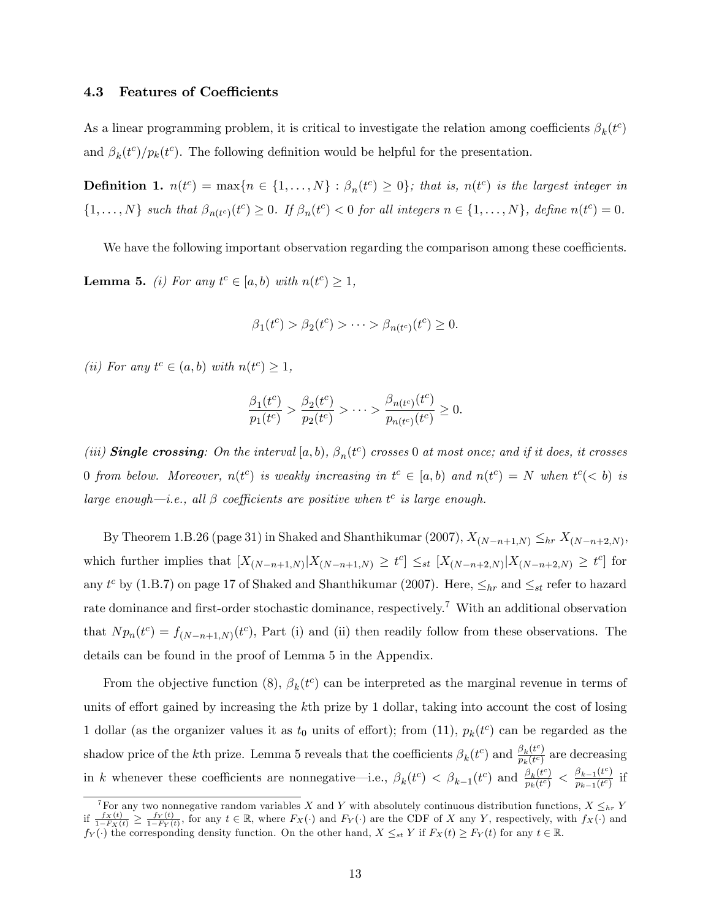#### 4.3 Features of Coefficients

As a linear programming problem, it is critical to investigate the relation among coefficients  $\beta_k(t^c)$ and  $\beta_k(t^c)/p_k(t^c)$ . The following definition would be helpful for the presentation.

<span id="page-12-1"></span>**Definition 1.**  $n(t^c) = \max\{n \in \{1, ..., N\} : \beta_n(t^c) \geq 0\}$ ; that is,  $n(t^c)$  is the largest integer in  $\{1,\ldots,N\}$  such that  $\beta_{n(t^c)}(t^c) \geq 0$ . If  $\beta_n(t^c) < 0$  for all integers  $n \in \{1,\ldots,N\}$ , define  $n(t^c) = 0$ .

<span id="page-12-0"></span>We have the following important observation regarding the comparison among these coefficients. **Lemma 5.** (i) For any  $t^c \in [a, b)$  with  $n(t^c) \ge 1$ ,

$$
\beta_1(t^c) > \beta_2(t^c) > \cdots > \beta_{n(t^c)}(t^c) \ge 0.
$$

(ii) For any  $t^c \in (a, b)$  with  $n(t^c) \geq 1$ ,

$$
\frac{\beta_1(t^c)}{p_1(t^c)} > \frac{\beta_2(t^c)}{p_2(t^c)} > \dots > \frac{\beta_{n(t^c)}(t^c)}{p_{n(t^c)}(t^c)} \ge 0.
$$

(iii) **Single crossing**: On the interval  $[a, b)$ ,  $\beta_n(t^c)$  crosses 0 at most once; and if it does, it crosses 0 from below. Moreover,  $n(t^c)$  is weakly increasing in  $t^c \in [a, b)$  and  $n(t^c) = N$  when  $t^c \leq b$ ) is large enough—i.e., all  $\beta$  coefficients are positive when  $t^c$  is large enough.

By Theorem 1.B.26 (page 31) in Shaked and Shanthikumar (2007),  $X_{(N-n+1,N)} \leq_{hr} X_{(N-n+2,N)}$ , which further implies that  $[X_{(N-n+1,N)} | X_{(N-n+1,N)} \geq t^c] \leq_{st} [X_{(N-n+2,N)} | X_{(N-n+2,N)} \geq t^c]$  for any  $t^c$  by (1.B.7) on page 17 of Shaked and Shanthikumar (2007). Here,  $\leq_{hr}$  and  $\leq_{st}$  refer to hazard rate dominance and first-order stochastic dominance, respectively.<sup>[7](#page-0-0)</sup> With an additional observation that  $N p_n(t^c) = f_{(N-n+1,N)}(t^c)$ , Part (i) and (ii) then readily follow from these observations. The details can be found in the proof of Lemma [5](#page-12-0) in the Appendix.

From the objective function [\(8\)](#page-11-1),  $\beta_k(t^c)$  can be interpreted as the marginal revenue in terms of units of effort gained by increasing the  $k<sup>th</sup>$  prize by 1 dollar, taking into account the cost of losing 1 dollar (as the organizer values it as  $t_0$  units of effort); from [\(11\)](#page-11-2),  $p_k(t^c)$  can be regarded as the shadow price of the kth prize. Lemma [5](#page-12-0) reveals that the coefficients  $\beta_k(t^c)$  and  $\frac{\beta_k(t^c)}{p_k(t^c)}$  $\frac{\rho_k(t^2)}{p_k(t^c)}$  are decreasing in k whenever these coefficients are nonnegative—i.e.,  $\beta_k(t^c) < \beta_{k-1}(t^c)$  and  $\frac{\beta_k(t^c)}{p_k(t^c)}$  $\frac{\beta_k(t^c)}{p_k(t^c)} < \frac{\beta_{k-1}(t^c)}{p_{k-1}(t^c)}$  $\frac{p_{k-1}(t)}{p_{k-1}(t^c)}$  if

<sup>&</sup>lt;sup>7</sup>For any two nonnegative random variables X and Y with absolutely continuous distribution functions,  $X \leq_{hr} Y$ if  $\frac{f_X(t)}{1-F_X(t)} \ge \frac{f_Y(t)}{1-F_Y(t)}$ , for any  $t \in \mathbb{R}$ , where  $F_X(\cdot)$  and  $F_Y(\cdot)$  are the CDF of X any Y, respectively, with  $f_X(\cdot)$  and  $f_Y(\cdot)$  the corresponding density function. On the other hand,  $X \leq_{st} Y$  if  $F_X(t) \geq F_Y(t)$  for any  $t \in \mathbb{R}$ .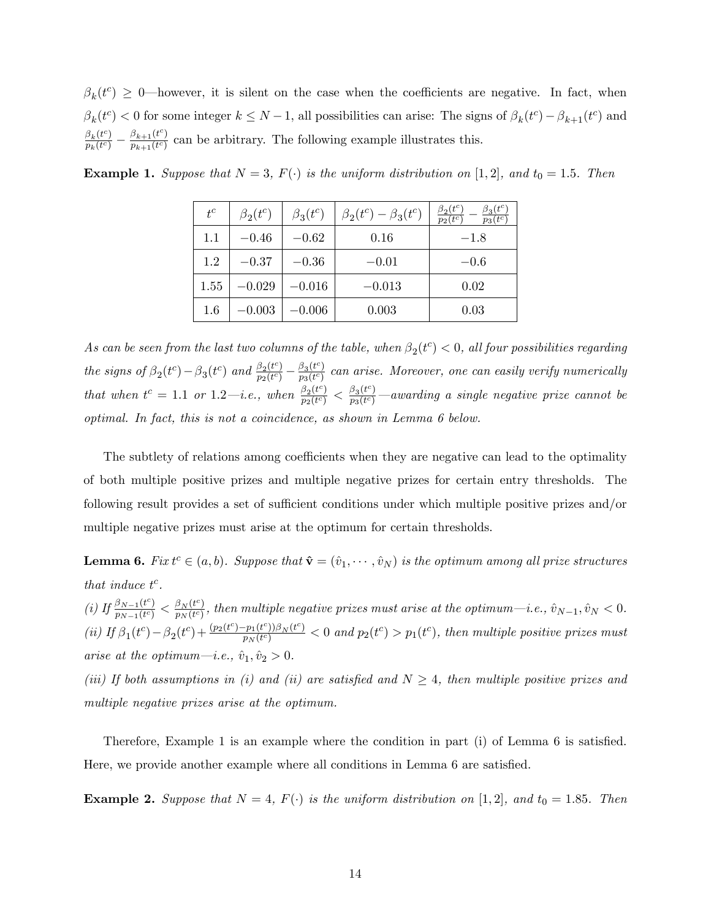$\beta_k(t^c) \geq 0$ —however, it is silent on the case when the coefficients are negative. In fact, when  $\beta_k(t^c) < 0$  for some integer  $k \leq N-1$ , all possibilities can arise: The signs of  $\beta_k(t^c) - \beta_{k+1}(t^c)$  and  $\frac{\beta_k(t^c)}{c}$  $\frac{\beta_k(t^c)}{p_k(t^c)} - \frac{\beta_{k+1}(t^c)}{p_{k+1}(t^c)}$  $\frac{p_{k+1}(t)}{p_{k+1}(t)}$  can be arbitrary. The following example illustrates this.

| $t^c$   | $\beta_2(t^c)$ | $\beta_3(t^c)$ | $\beta_2(t^c) - \beta_3(t^c)$ | $\beta_3(t^c)$<br>$\beta_2(t^c)$<br>$p_3(\overline{t^c})$<br>$p_2(t^c)$ |
|---------|----------------|----------------|-------------------------------|-------------------------------------------------------------------------|
| 1.1     | $-0.46$        | $-0.62$        | 0.16                          | $-1.8$                                                                  |
| 1.2     | $-0.37$        | $-0.36$        | $-0.01$                       | $-0.6$                                                                  |
| 1.55    | $-0.029$       | $-0.016$       | $-0.013$                      | 0.02                                                                    |
| $1.6\,$ | $-0.003$       | $-0.006$       | 0.003                         | 0.03                                                                    |

<span id="page-13-1"></span>**Example 1.** Suppose that  $N = 3$ ,  $F(\cdot)$  is the uniform distribution on [1, 2], and  $t_0 = 1.5$ . Then

As can be seen from the last two columns of the table, when  $\beta_2(t^c) < 0$ , all four possibilities regarding the signs of  $\beta_2(t^c) - \beta_3(t^c)$  and  $\frac{\beta_2(t^c)}{p_2(t^c)}$  $\frac{\beta_2(t^c)}{p_2(t^c)} - \frac{\beta_3(t^c)}{p_3(t^c)}$  $\frac{\rho_3(t)}{p_3(t^c)}$  can arise. Moreover, one can easily verify numerically that when  $t^c = 1.1$  or  $1.2$ —*i.e.*, when  $\frac{\beta_2(t^c)}{n_0(t^c)}$  $\frac{\beta_2(t^c)}{p_2(t^c)} < \frac{\beta_3(t^c)}{p_3(t^c)}$  $\frac{p_3(t^-)}{p_3(t^-)}$  —awarding a single negative prize cannot be optimal. In fact, this is not a coincidence, as shown in Lemma [6](#page-13-0) below.

The subtlety of relations among coefficients when they are negative can lead to the optimality of both multiple positive prizes and multiple negative prizes for certain entry thresholds. The following result provides a set of sufficient conditions under which multiple positive prizes and/or multiple negative prizes must arise at the optimum for certain thresholds.

<span id="page-13-0"></span>**Lemma 6.** Fix  $t^c \in (a, b)$ . Suppose that  $\hat{\mathbf{v}} = (\hat{v}_1, \dots, \hat{v}_N)$  is the optimum among all prize structures that induce  $t^c$ .

(*i*) If  $\frac{\beta_{N-1}(t^c)}{n_N}$  $\frac{\beta_{N-1}(t^c)}{p_{N-1}(t^c)} < \frac{\beta_N(t^c)}{p_N(t^c)}$  $\frac{\rho_N(t^2)}{p_N(t^c)}$ , then multiple negative prizes must arise at the optimum—i.e.,  $\hat{v}_{N-1}, \hat{v}_N < 0.$ (ii) If  $\beta_1(t^c) - \beta_2(t^c) + \frac{(p_2(t^c) - p_1(t^c))\beta_N(t^c)}{p_N(t^c)}$  $\frac{p_1(t^c))\beta_N(t^c)}{p_N(t^c)}$  < 0 and  $p_2(t^c) > p_1(t^c)$ , then multiple positive prizes must arise at the optimum—i.e.,  $\hat{v}_1, \hat{v}_2 > 0$ .

(iii) If both assumptions in (i) and (ii) are satisfied and  $N \geq 4$ , then multiple positive prizes and multiple negative prizes arise at the optimum.

Therefore, Example [1](#page-13-1) is an example where the condition in part (i) of Lemma [6](#page-13-0) is satisfied. Here, we provide another example where all conditions in Lemma [6](#page-13-0) are satisfied.

<span id="page-13-2"></span>**Example 2.** Suppose that  $N = 4$ ,  $F(\cdot)$  is the uniform distribution on [1,2], and  $t_0 = 1.85$ . Then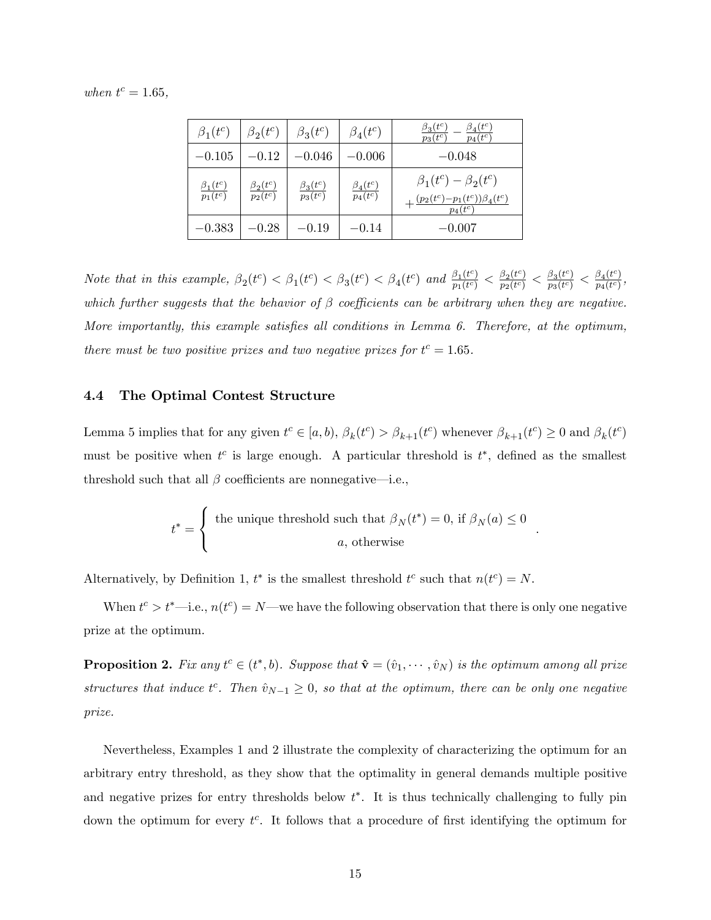when  $t^c = 1.65$ ,

| $\beta_1(t^c)$                  | $\beta_2(t^c)$                  | $\beta_3(t^c)$                  | $\beta_4(t^c)$                  | $\beta_3(t^c)$<br>$\beta_4(t^c)$<br>$p_4(t^c)$<br>$p_3(\overline{t^c})$              |
|---------------------------------|---------------------------------|---------------------------------|---------------------------------|--------------------------------------------------------------------------------------|
| $-0.105$                        | $-0.12$                         | $-0.046$                        | $-0.006$                        | $-0.048$                                                                             |
| $\frac{\beta_1(t^c)}{p_1(t^c)}$ | $\frac{\beta_2(t^c)}{p_2(t^c)}$ | $\frac{\beta_3(t^c)}{p_3(t^c)}$ | $\frac{\beta_4(t^c)}{p_4(t^c)}$ | $\beta_1(t^c) - \beta_2(t^c)$<br>$+\frac{(p_2(t^c)-p_1(t^c))\beta_4(t^c)}{p_4(t^c)}$ |
| $-0.383$                        | $-0.28$                         | $-0.19$                         | $-0.14$                         | $-0.007$                                                                             |

Note that in this example,  $\beta_2(t^c) < \beta_1(t^c) < \beta_3(t^c) < \beta_4(t^c)$  and  $\frac{\beta_1(t^c)}{p_1(t^c)}$  $\frac{\beta_1(t^c)}{p_1(t^c)} < \frac{\beta_2(t^c)}{p_2(t^c)}$  $\frac{\beta_2(t^c)}{p_2(t^c)} < \frac{\beta_3(t^c)}{p_3(t^c)}$  $\frac{\beta_3(t^c)}{p_3(t^c)} < \frac{\beta_4(t^c)}{p_4(t^c)}$  $\frac{p_4(\iota)}{p_4(t^c)},$ which further suggests that the behavior of  $\beta$  coefficients can be arbitrary when they are negative. More importantly, this example satisfies all conditions in Lemma [6.](#page-13-0) Therefore, at the optimum, there must be two positive prizes and two negative prizes for  $t^c = 1.65$ .

#### 4.4 The Optimal Contest Structure

Lemma [5](#page-12-0) implies that for any given  $t^c \in [a, b)$ ,  $\beta_k(t^c) > \beta_{k+1}(t^c)$  whenever  $\beta_{k+1}(t^c) \ge 0$  and  $\beta_k(t^c)$ must be positive when  $t^c$  is large enough. A particular threshold is  $t^*$ , defined as the smallest threshold such that all  $\beta$  coefficients are nonnegative—i.e.,

$$
t^* = \begin{cases} \text{ the unique threshold such that } \beta_N(t^*) = 0 \text{, if } \beta_N(a) \le 0 \\ a \text{, otherwise} \end{cases}
$$

:

Alternatively, by Definition [1,](#page-12-1)  $t^*$  is the smallest threshold  $t^c$  such that  $n(t^c) = N$ .

When  $t^c > t^*$  i.e.,  $n(t^c) = N$  we have the following observation that there is only one negative prize at the optimum.

<span id="page-14-0"></span>**Proposition 2.** Fix any  $t^c \in (t^*, b)$ . Suppose that  $\hat{\mathbf{v}} = (\hat{v}_1, \dots, \hat{v}_N)$  is the optimum among all prize structures that induce  $t^c$ . Then  $\hat{v}_{N-1} \geq 0$ , so that at the optimum, there can be only one negative prize.

Nevertheless, Examples [1](#page-13-1) and [2](#page-13-2) illustrate the complexity of characterizing the optimum for an arbitrary entry threshold, as they show that the optimality in general demands multiple positive and negative prizes for entry thresholds below  $t^*$ . It is thus technically challenging to fully pin down the optimum for every  $t^c$ . It follows that a procedure of first identifying the optimum for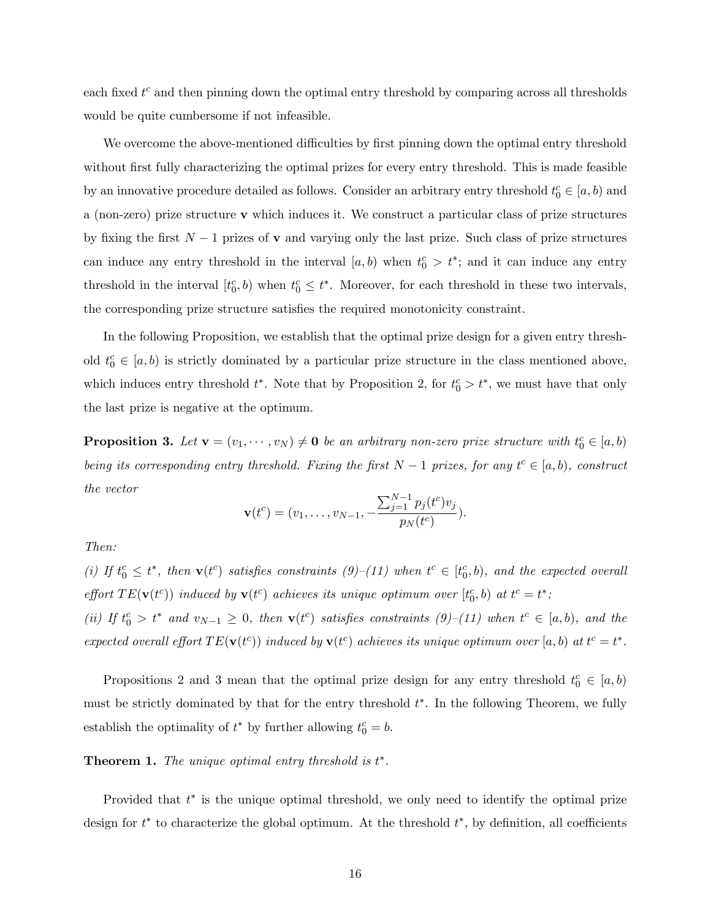each fixed  $t^c$  and then pinning down the optimal entry threshold by comparing across all thresholds would be quite cumbersome if not infeasible.

We overcome the above-mentioned difficulties by first pinning down the optimal entry threshold without first fully characterizing the optimal prizes for every entry threshold. This is made feasible by an innovative procedure detailed as follows. Consider an arbitrary entry threshold  $t_0^c \in [a, b)$  and a (non-zero) prize structure v which induces it. We construct a particular class of prize structures by fixing the first  $N-1$  prizes of **v** and varying only the last prize. Such class of prize structures can induce any entry threshold in the interval  $[a, b)$  when  $t_0^c > t^*$ ; and it can induce any entry threshold in the interval  $[t_0^c, b)$  when  $t_0^c \leq t^*$ . Moreover, for each threshold in these two intervals, the corresponding prize structure satisfies the required monotonicity constraint.

In the following Proposition, we establish that the optimal prize design for a given entry threshold  $t_0^c \in [a, b)$  is strictly dominated by a particular prize structure in the class mentioned above, which induces entry threshold  $t^*$ . Note that by Proposition [2,](#page-14-0) for  $t_0^c > t^*$ , we must have that only the last prize is negative at the optimum.

<span id="page-15-0"></span>**Proposition 3.** Let  $\mathbf{v} = (v_1, \dots, v_N) \neq \mathbf{0}$  be an arbitrary non-zero prize structure with  $t_0^c \in [a, b)$ being its corresponding entry threshold. Fixing the first  $N-1$  prizes, for any  $t^c \in [a, b)$ , construct the vector

$$
\mathbf{v}(t^c) = (v_1, \dots, v_{N-1}, -\frac{\sum_{j=1}^{N-1} p_j(t^c) v_j}{p_N(t^c)}).
$$

Then:

(i) If  $t_0^c \leq t^*$ , then  $\mathbf{v}(t^c)$  satisfies constraints  $(9)$ - $(11)$  when  $t^c \in [t_0^c, b)$ , and the expected overall effort  $TE(\mathbf{v}(t^c))$  induced by  $\mathbf{v}(t^c)$  achieves its unique optimum over  $[t_0^c, b]$  at  $t^c = t^*$ ; (ii) If  $t_0^c > t^*$  and  $v_{N-1} \geq 0$ , then  $\mathbf{v}(t^c)$  satisfies constraints  $(9)$ - $(11)$  when  $t^c \in [a, b)$ , and the expected overall effort  $TE(\mathbf{v}(t^c))$  induced by  $\mathbf{v}(t^c)$  achieves its unique optimum over [a, b) at  $t^c = t^*$ .

Propositions [2](#page-14-0) and [3](#page-15-0) mean that the optimal prize design for any entry threshold  $t_0^c \in [a, b)$ must be strictly dominated by that for the entry threshold  $t^*$ . In the following Theorem, we fully establish the optimality of  $t^*$  by further allowing  $t_0^c = b$ .

#### <span id="page-15-1"></span>**Theorem 1.** The unique optimal entry threshold is  $t^*$ .

Provided that  $t^*$  is the unique optimal threshold, we only need to identify the optimal prize design for  $t^*$  to characterize the global optimum. At the threshold  $t^*$ , by definition, all coefficients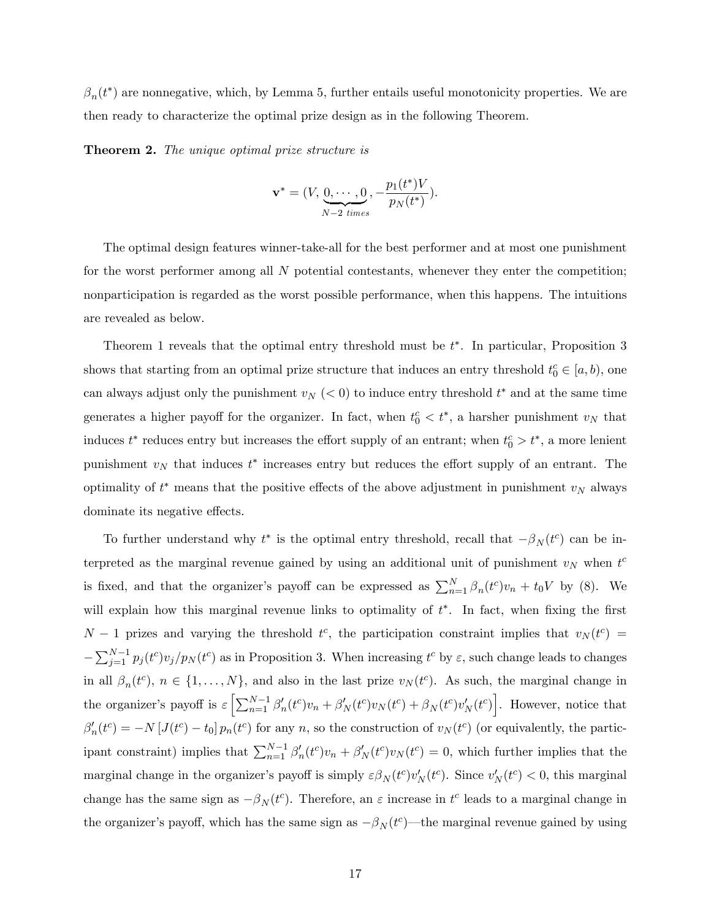$\beta_n(t^*)$  are nonnegative, which, by Lemma [5,](#page-12-0) further entails useful monotonicity properties. We are then ready to characterize the optimal prize design as in the following Theorem.

<span id="page-16-0"></span>**Theorem 2.** The unique optimal prize structure is

$$
\mathbf{v}^* = (V, \underbrace{0, \cdots, 0}_{N-2 \ times}, -\frac{p_1(t^*)V}{p_N(t^*)}).
$$

The optimal design features winner-take-all for the best performer and at most one punishment for the worst performer among all N potential contestants, whenever they enter the competition; nonparticipation is regarded as the worst possible performance, when this happens. The intuitions are revealed as below.

Theorem [1](#page-15-1) reveals that the optimal entry threshold must be  $t^*$ . In particular, Proposition [3](#page-15-0) shows that starting from an optimal prize structure that induces an entry threshold  $t_0^c \in [a, b)$ , one can always adjust only the punishment  $v_N$  ( $<$  0) to induce entry threshold  $t^*$  and at the same time generates a higher payoff for the organizer. In fact, when  $t_0^c < t^*$ , a harsher punishment  $v_N$  that induces  $t^*$  reduces entry but increases the effort supply of an entrant; when  $t_0^c > t^*$ , a more lenient punishment  $v_N$  that induces  $t^*$  increases entry but reduces the effort supply of an entrant. The optimality of  $t^*$  means that the positive effects of the above adjustment in punishment  $v_N$  always dominate its negative effects.

To further understand why  $t^*$  is the optimal entry threshold, recall that  $-\beta_N(t^c)$  can be interpreted as the marginal revenue gained by using an additional unit of punishment  $v<sub>N</sub>$  when  $t<sup>c</sup>$ is fixed, and that the organizer's payoff can be expressed as  $\sum_{n=1}^{N} \beta_n(t^c) v_n + t_0 V$  by [\(8\)](#page-11-1). We will explain how this marginal revenue links to optimality of  $t^*$ . In fact, when fixing the first  $N-1$  prizes and varying the threshold  $t^c$ , the participation constraint implies that  $v_N(t^c)$  =  $-\sum_{j=1}^{N-1} p_j(t^c) v_j/p_N(t^c)$  as in Proposition [3.](#page-15-0) When increasing  $t^c$  by  $\varepsilon$ , such change leads to changes in all  $\beta_n(t^c)$ ,  $n \in \{1, ..., N\}$ , and also in the last prize  $v_N(t^c)$ . As such, the marginal change in the organizer's payoff is  $\varepsilon \left[ \sum_{n=1}^{N-1} \beta'_n(t^c) v_n + \beta'_N(t^c) v_N(t^c) + \beta_N(t^c) v'_N(t^c) \right]$ . However, notice that  $\beta'_n(t^c) = -N [J(t^c) - t_0] p_n(t^c)$  for any n, so the construction of  $v_N(t^c)$  (or equivalently, the participant constraint) implies that  $\sum_{n=1}^{N-1} \beta'_n(t^c) v_n + \beta'_N(t^c) v_N(t^c) = 0$ , which further implies that the marginal change in the organizer's payoff is simply  $\varepsilon \beta_N(t^c) v'_N(t^c)$ . Since  $v'_N(t^c) < 0$ , this marginal change has the same sign as  $-\beta_N(t^c)$ . Therefore, an  $\varepsilon$  increase in  $t^c$  leads to a marginal change in the organizer's payoff, which has the same sign as  $-\beta_N (t^c)$ —the marginal revenue gained by using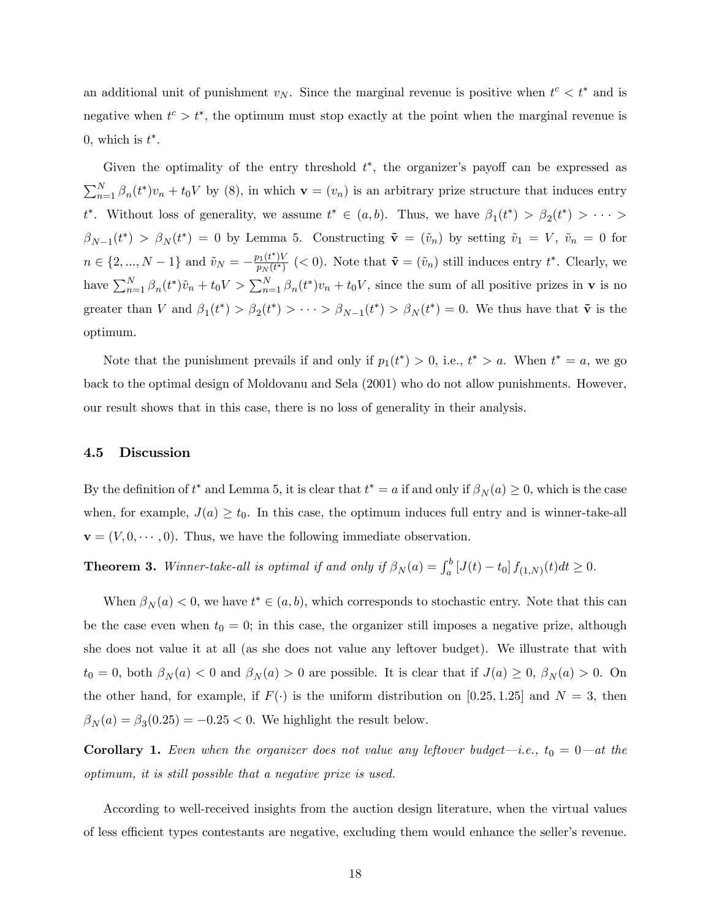an additional unit of punishment  $v_N$ . Since the marginal revenue is positive when  $t^c < t^*$  and is negative when  $t^c > t^*$ , the optimum must stop exactly at the point when the marginal revenue is 0, which is  $t^*$ .

Given the optimality of the entry threshold  $t^*$ , the organizer's payoff can be expressed as  $\sum_{n=1}^{N} \beta_n(t^*) v_n + t_0 V$  by [\(8\)](#page-11-1), in which  $\mathbf{v} = (v_n)$  is an arbitrary prize structure that induces entry  $t^*$ . Without loss of generality, we assume  $t^* \in (a, b)$ . Thus, we have  $\beta_1(t^*) > \beta_2(t^*) > \cdots$  $\beta_{N-1}(t^*) > \beta_N(t^*) = 0$  by Lemma [5.](#page-12-0) Constructing  $\tilde{\mathbf{v}} = (\tilde{v}_n)$  by setting  $\tilde{v}_1 = V$ ,  $\tilde{v}_n = 0$  for  $n \in \{2, ..., N-1\}$  and  $\tilde{v}_N = -\frac{p_1(t^*)V}{p_N(t^*)}$  $\frac{\partial u(t^*)V}{\partial p_N(t^*)}$  (< 0). Note that  $\tilde{\mathbf{v}} = (\tilde{v}_n)$  still induces entry  $t^*$ . Clearly, we have  $\sum_{n=1}^{N} \beta_n(t^*) \tilde{v}_n + t_0 V > \sum_{n=1}^{N} \beta_n(t^*) v_n + t_0 V$ , since the sum of all positive prizes in **v** is no greater than V and  $\beta_1(t^*) > \beta_2(t^*) > \cdots > \beta_{N-1}(t^*) > \beta_N(t^*) = 0$ . We thus have that  $\tilde{\mathbf{v}}$  is the optimum.

Note that the punishment prevails if and only if  $p_1(t^*) > 0$ , i.e.,  $t^* > a$ . When  $t^* = a$ , we go back to the optimal design of Moldovanu and Sela (2001) who do not allow punishments. However, our result shows that in this case, there is no loss of generality in their analysis.

#### 4.5 Discussion

By the definition of  $t^*$  and Lemma [5,](#page-12-0) it is clear that  $t^* = a$  if and only if  $\beta_N(a) \geq 0$ , which is the case when, for example,  $J(a) \geq t_0$ . In this case, the optimum induces full entry and is winner-take-all  $\mathbf{v} = (V, 0, \dots, 0)$ . Thus, we have the following immediate observation.

<span id="page-17-0"></span>**Theorem 3.** Winner-take-all is optimal if and only if  $\beta_N(a) = \int_a^b [J(t) - t_0] f_{(1,N)}(t) dt \ge 0$ .

When  $\beta_N(a) < 0$ , we have  $t^* \in (a, b)$ , which corresponds to stochastic entry. Note that this can be the case even when  $t_0 = 0$ ; in this case, the organizer still imposes a negative prize, although she does not value it at all (as she does not value any leftover budget). We illustrate that with  $t_0 = 0$ , both  $\beta_N(a) < 0$  and  $\beta_N(a) > 0$  are possible. It is clear that if  $J(a) \geq 0$ ,  $\beta_N(a) > 0$ . On the other hand, for example, if  $F(\cdot)$  is the uniform distribution on [0.25, 1.25] and  $N = 3$ , then  $\beta_N(a) = \beta_3(0.25) = -0.25 < 0$ . We highlight the result below.

**Corollary 1.** Even when the organizer does not value any leftover budget-i.e.,  $t_0 = 0$ -at the optimum, it is still possible that a negative prize is used.

According to well-received insights from the auction design literature, when the virtual values of less efficient types contestants are negative, excluding them would enhance the seller's revenue.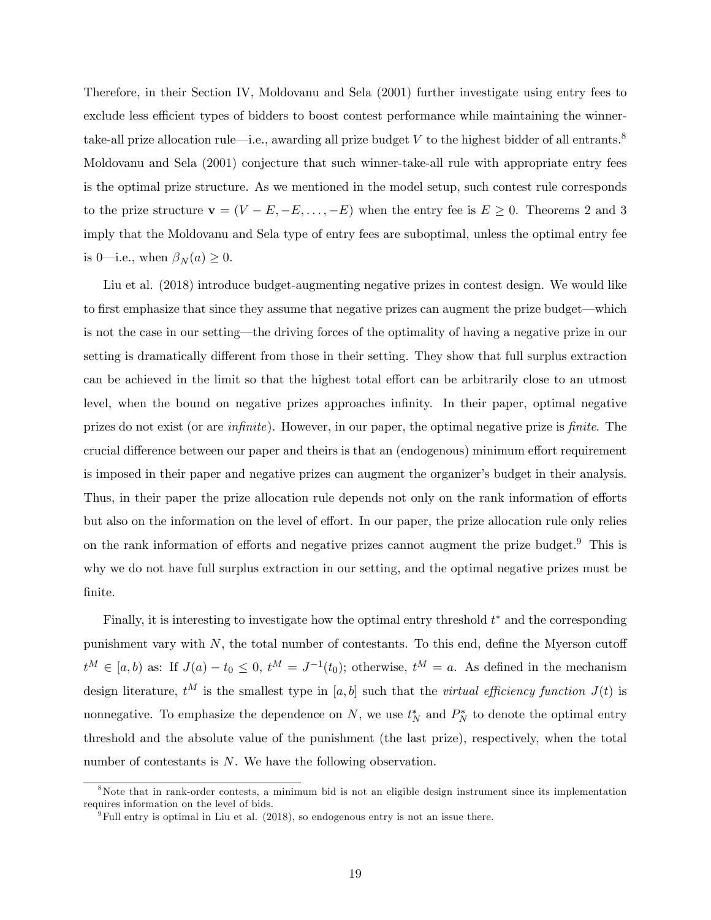Therefore, in their Section IV, Moldovanu and Sela (2001) further investigate using entry fees to exclude less efficient types of bidders to boost contest performance while maintaining the winner-take-all prize allocation rule—i.e., awarding all prize budget V to the highest bidder of all entrants.<sup>[8](#page-0-0)</sup> Moldovanu and Sela (2001) conjecture that such winner-take-all rule with appropriate entry fees is the optimal prize structure. As we mentioned in the model setup, such contest rule corresponds to the prize structure  $\mathbf{v} = (V - E, -E, \dots, -E)$  when the entry fee is  $E \geq 0$ . Theorems [2](#page-16-0) and [3](#page-17-0) imply that the Moldovanu and Sela type of entry fees are suboptimal, unless the optimal entry fee is 0—i.e., when  $\beta_N(a) \geq 0$ .

Liu et al. (2018) introduce budget-augmenting negative prizes in contest design. We would like to first emphasize that since they assume that negative prizes can augment the prize budget—which is not the case in our setting—the driving forces of the optimality of having a negative prize in our setting is dramatically different from those in their setting. They show that full surplus extraction can be achieved in the limit so that the highest total effort can be arbitrarily close to an utmost level, when the bound on negative prizes approaches infinity. In their paper, optimal negative prizes do not exist (or are *infinite*). However, in our paper, the optimal negative prize is *finite*. The crucial difference between our paper and theirs is that an (endogenous) minimum effort requirement is imposed in their paper and negative prizes can augment the organizer's budget in their analysis. Thus, in their paper the prize allocation rule depends not only on the rank information of efforts but also on the information on the level of effort. In our paper, the prize allocation rule only relies on the rank information of efforts and negative prizes cannot augment the prize budget.<sup>[9](#page-0-0)</sup> This is why we do not have full surplus extraction in our setting, and the optimal negative prizes must be finite.

Finally, it is interesting to investigate how the optimal entry threshold  $t^*$  and the corresponding punishment vary with  $N$ , the total number of contestants. To this end, define the Myerson cutoff  $t^M \in [a, b)$  as: If  $J(a) - t_0 \leq 0$ ,  $t^M = J^{-1}(t_0)$ ; otherwise,  $t^M = a$ . As defined in the mechanism design literature,  $t^M$  is the smallest type in [a, b] such that the *virtual efficiency function*  $J(t)$  is nonnegative. To emphasize the dependence on N, we use  $t_N^*$  and  $P_N^*$  to denote the optimal entry threshold and the absolute value of the punishment (the last prize), respectively, when the total number of contestants is N. We have the following observation.

<sup>&</sup>lt;sup>8</sup>Note that in rank-order contests, a minimum bid is not an eligible design instrument since its implementation requires information on the level of bids.

 $^{9}$ Full entry is optimal in Liu et al. (2018), so endogenous entry is not an issue there.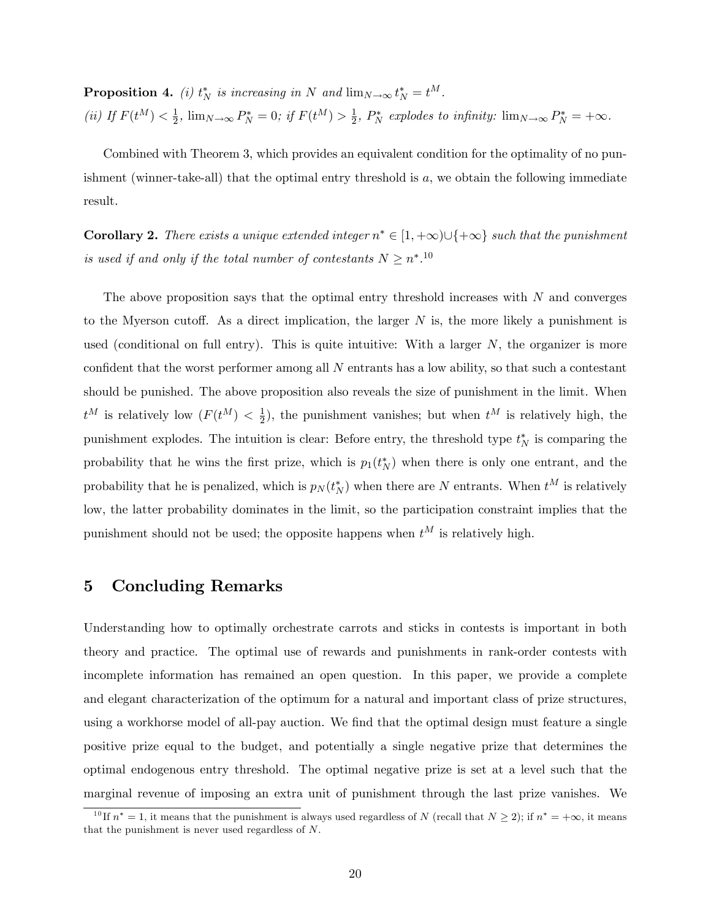<span id="page-19-0"></span>**Proposition 4.** (i)  $t_N^*$  is increasing in N and  $\lim_{N \to \infty} t_N^* = t^M$ . (ii) If  $F(t^M) < \frac{1}{2}$  $\frac{1}{2}$ ,  $\lim_{N \to \infty} P_N^* = 0$ ; if  $F(t^M) > \frac{1}{2}$  $\frac{1}{2}$ ,  $P_N^*$  explodes to infinity:  $\lim_{N \to \infty} P_N^* = +\infty$ .

Combined with Theorem [3,](#page-17-0) which provides an equivalent condition for the optimality of no punishment (winner-take-all) that the optimal entry threshold is  $a$ , we obtain the following immediate result.

**Corollary 2.** There exists a unique extended integer  $n^* \in [1, +\infty) \cup \{+\infty\}$  such that the punishment is used if and only if the total number of contestants  $N \geq n^{*}$ .<sup>[10](#page-0-0)</sup>

The above proposition says that the optimal entry threshold increases with  $N$  and converges to the Myerson cutoff. As a direct implication, the larger  $N$  is, the more likely a punishment is used (conditional on full entry). This is quite intuitive: With a larger  $N$ , the organizer is more confident that the worst performer among all  $N$  entrants has a low ability, so that such a contestant should be punished. The above proposition also reveals the size of punishment in the limit. When  $t^M$  is relatively low  $(F(t^M) < \frac{1}{2})$  $\frac{1}{2}$ ), the punishment vanishes; but when  $t^M$  is relatively high, the punishment explodes. The intuition is clear: Before entry, the threshold type  $t_N^*$  is comparing the probability that he wins the first prize, which is  $p_1(t_N^*)$  when there is only one entrant, and the probability that he is penalized, which is  $p_N(t_N^*)$  when there are N entrants. When  $t^M$  is relatively low, the latter probability dominates in the limit, so the participation constraint implies that the punishment should not be used; the opposite happens when  $t^M$  is relatively high.

## 5 Concluding Remarks

Understanding how to optimally orchestrate carrots and sticks in contests is important in both theory and practice. The optimal use of rewards and punishments in rank-order contests with incomplete information has remained an open question. In this paper, we provide a complete and elegant characterization of the optimum for a natural and important class of prize structures, using a workhorse model of all-pay auction. We find that the optimal design must feature a single positive prize equal to the budget, and potentially a single negative prize that determines the optimal endogenous entry threshold. The optimal negative prize is set at a level such that the marginal revenue of imposing an extra unit of punishment through the last prize vanishes. We

<sup>&</sup>lt;sup>10</sup>If  $n^* = 1$ , it means that the punishment is always used regardless of N (recall that  $N \ge 2$ ); if  $n^* = +\infty$ , it means that the punishment is never used regardless of N.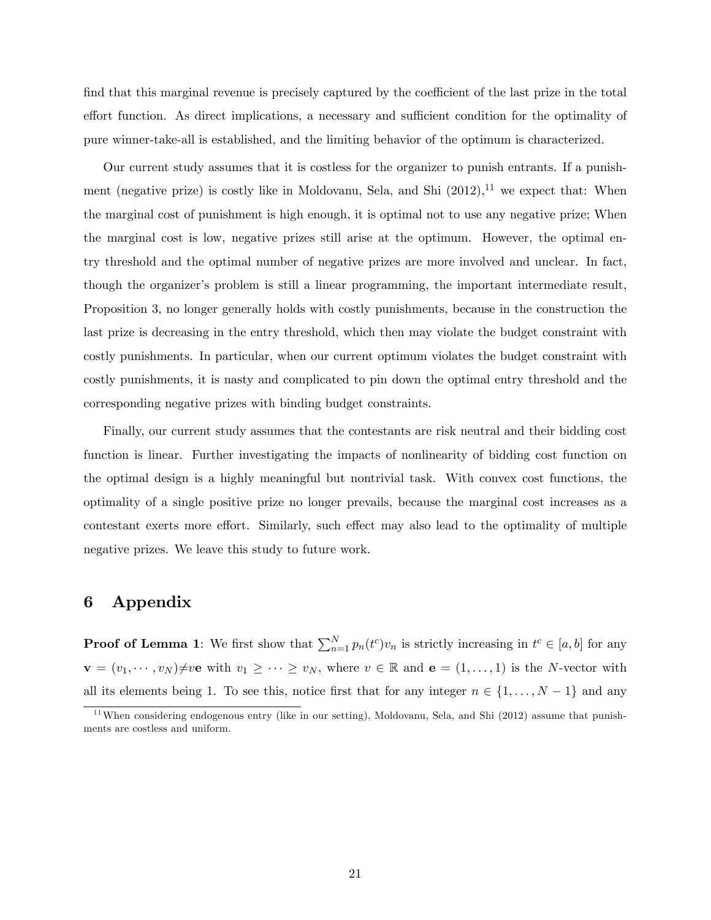find that this marginal revenue is precisely captured by the coefficient of the last prize in the total effort function. As direct implications, a necessary and sufficient condition for the optimality of pure winner-take-all is established, and the limiting behavior of the optimum is characterized.

Our current study assumes that it is costless for the organizer to punish entrants. If a punishment (negative prize) is costly like in Moldovanu, Sela, and Shi  $(2012)$ ,<sup>[11](#page-0-0)</sup> we expect that: When the marginal cost of punishment is high enough, it is optimal not to use any negative prize; When the marginal cost is low, negative prizes still arise at the optimum. However, the optimal entry threshold and the optimal number of negative prizes are more involved and unclear. In fact, though the organizer's problem is still a linear programming, the important intermediate result, Proposition [3,](#page-15-0) no longer generally holds with costly punishments, because in the construction the last prize is decreasing in the entry threshold, which then may violate the budget constraint with costly punishments. In particular, when our current optimum violates the budget constraint with costly punishments, it is nasty and complicated to pin down the optimal entry threshold and the corresponding negative prizes with binding budget constraints.

Finally, our current study assumes that the contestants are risk neutral and their bidding cost function is linear. Further investigating the impacts of nonlinearity of bidding cost function on the optimal design is a highly meaningful but nontrivial task. With convex cost functions, the optimality of a single positive prize no longer prevails, because the marginal cost increases as a contestant exerts more effort. Similarly, such effect may also lead to the optimality of multiple negative prizes. We leave this study to future work.

## 6 Appendix

**Proof of Lemma [1](#page-8-0)**: We first show that  $\sum_{n=1}^{N} p_n(t^c) v_n$  is strictly increasing in  $t^c \in [a, b]$  for any  $\mathbf{v} = (v_1, \dots, v_N) \neq v$ e with  $v_1 \geq \dots \geq v_N$ , where  $v \in \mathbb{R}$  and  $\mathbf{e} = (1, \dots, 1)$  is the N-vector with all its elements being 1. To see this, notice first that for any integer  $n \in \{1, \ldots, N-1\}$  and any

 $11$ When considering endogenous entry (like in our setting), Moldovanu, Sela, and Shi (2012) assume that punishments are costless and uniform.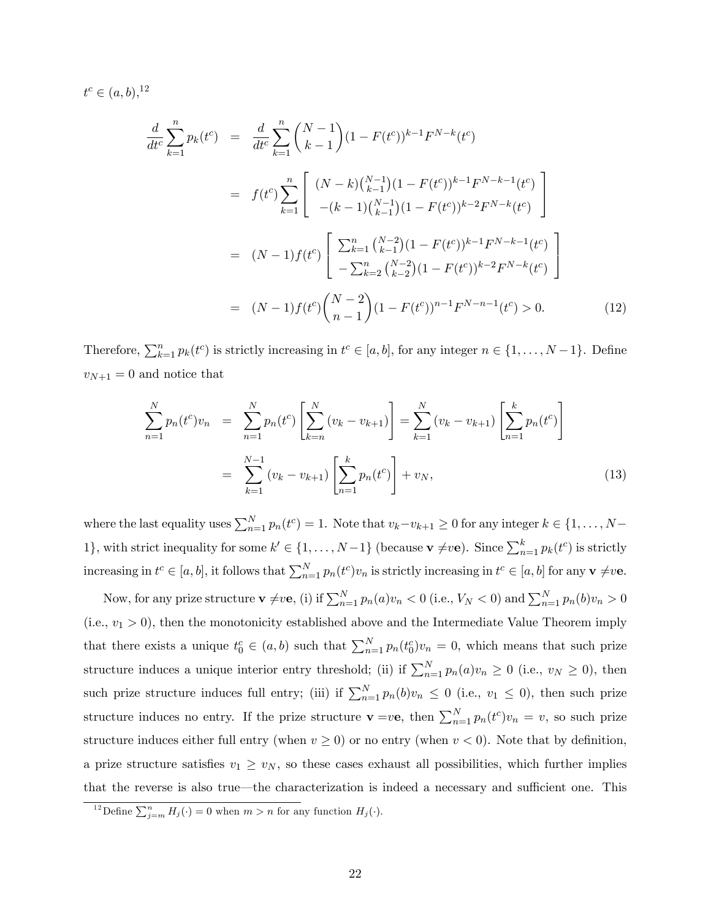$t^c \in (a, b),$ <sup>[12](#page-0-0)</sup>

$$
\frac{d}{dt^{c}} \sum_{k=1}^{n} p_{k}(t^{c}) = \frac{d}{dt^{c}} \sum_{k=1}^{n} {N-1 \choose k-1} (1 - F(t^{c}))^{k-1} F^{N-k}(t^{c})
$$
\n
$$
= f(t^{c}) \sum_{k=1}^{n} \left[ \frac{(N-k) {N-1 \choose k-1} (1 - F(t^{c}))^{k-1} F^{N-k-1}(t^{c})}{-(k-1) {N-1 \choose k-1} (1 - F(t^{c}))^{k-2} F^{N-k}(t^{c})} \right]
$$
\n
$$
= (N-1) f(t^{c}) \left[ \sum_{k=1}^{n} {N-2 \choose k-1} (1 - F(t^{c}))^{k-1} F^{N-k-1}(t^{c}) \right]
$$
\n
$$
= (N-1) f(t^{c}) {N-2 \choose n-1} (1 - F(t^{c}))^{n-1} F^{N-n-1}(t^{c}) > 0.
$$
\n(12)

Therefore,  $\sum_{k=1}^{n} p_k(t^c)$  is strictly increasing in  $t^c \in [a, b]$ , for any integer  $n \in \{1, \ldots, N-1\}$ . Define  $v_{N+1} = 0$  and notice that

$$
\sum_{n=1}^{N} p_n(t^c) v_n = \sum_{n=1}^{N} p_n(t^c) \left[ \sum_{k=n}^{N} (v_k - v_{k+1}) \right] = \sum_{k=1}^{N} (v_k - v_{k+1}) \left[ \sum_{n=1}^{k} p_n(t^c) \right]
$$

$$
= \sum_{k=1}^{N-1} (v_k - v_{k+1}) \left[ \sum_{n=1}^{k} p_n(t^c) \right] + v_N,
$$
(13)

where the last equality uses  $\sum_{n=1}^{N} p_n(t^c) = 1$ . Note that  $v_k - v_{k+1} \ge 0$  for any integer  $k \in \{1, \ldots, N-1\}$ 1}, with strict inequality for some  $k' \in \{1, ..., N-1\}$  (because  $\mathbf{v} \neq v\mathbf{e}$ ). Since  $\sum_{n=1}^{k} p_k(t^c)$  is strictly increasing in  $t^c \in [a, b]$ , it follows that  $\sum_{n=1}^{N} p_n(t^c) v_n$  is strictly increasing in  $t^c \in [a, b]$  for any  $\mathbf{v} \neq v$ e.

Now, for any prize structure  $\mathbf{v} \neq v\mathbf{e}$ , (i) if  $\sum_{n=1}^{N} p_n(a)v_n < 0$  (i.e.,  $V_N < 0$ ) and  $\sum_{n=1}^{N} p_n(b)v_n > 0$  $(i.e., v_1 > 0)$ , then the monotonicity established above and the Intermediate Value Theorem imply that there exists a unique  $t_0^c \in (a, b)$  such that  $\sum_{n=1}^{N} p_n(t_0^c)v_n = 0$ , which means that such prize structure induces a unique interior entry threshold; (ii) if  $\sum_{n=1}^{N} p_n(a)v_n \ge 0$  (i.e.,  $v_N \ge 0$ ), then such prize structure induces full entry; (iii) if  $\sum_{n=1}^{N} p_n(b)v_n \leq 0$  (i.e.,  $v_1 \leq 0$ ), then such prize structure induces no entry. If the prize structure  $\mathbf{v} = v\mathbf{e}$ , then  $\sum_{n=1}^{N} p_n(t^c)v_n = v$ , so such prize structure induces either full entry (when  $v \ge 0$ ) or no entry (when  $v < 0$ ). Note that by definition, a prize structure satisfies  $v_1 \geq v_N$ , so these cases exhaust all possibilities, which further implies that the reverse is also true—the characterization is indeed a necessary and sufficient one. This

<sup>&</sup>lt;sup>12</sup>Define  $\sum_{j=m}^{n} H_j(\cdot) = 0$  when  $m > n$  for any function  $H_j(\cdot)$ .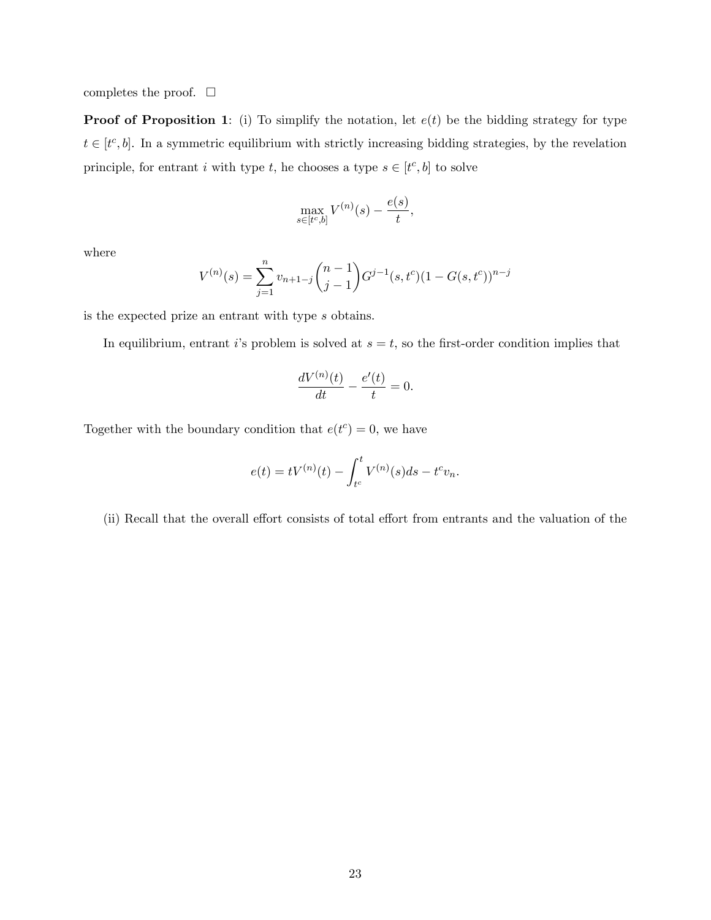completes the proof.  $\Box$ 

**Proof of Proposition [1](#page-8-1)**: (i) To simplify the notation, let  $e(t)$  be the bidding strategy for type  $t \in [t^c, b]$ . In a symmetric equilibrium with strictly increasing bidding strategies, by the revelation principle, for entrant i with type  $t$ , he chooses a type  $s \in [t^c, b]$  to solve

$$
\max_{s \in [t^c, b]} V^{(n)}(s) - \frac{e(s)}{t},
$$

where

$$
V^{(n)}(s) = \sum_{j=1}^{n} v_{n+1-j} \binom{n-1}{j-1} G^{j-1}(s, t^c) (1 - G(s, t^c))^{n-j}
$$

is the expected prize an entrant with type s obtains.

In equilibrium, entrant is problem is solved at  $s = t$ , so the first-order condition implies that

$$
\frac{dV^{(n)}(t)}{dt} - \frac{e'(t)}{t} = 0.
$$

Together with the boundary condition that  $e(t^c) = 0$ , we have

$$
e(t) = tV^{(n)}(t) - \int_{t^c}^t V^{(n)}(s)ds - t^c v_n.
$$

(ii) Recall that the overall effort consists of total effort from entrants and the valuation of the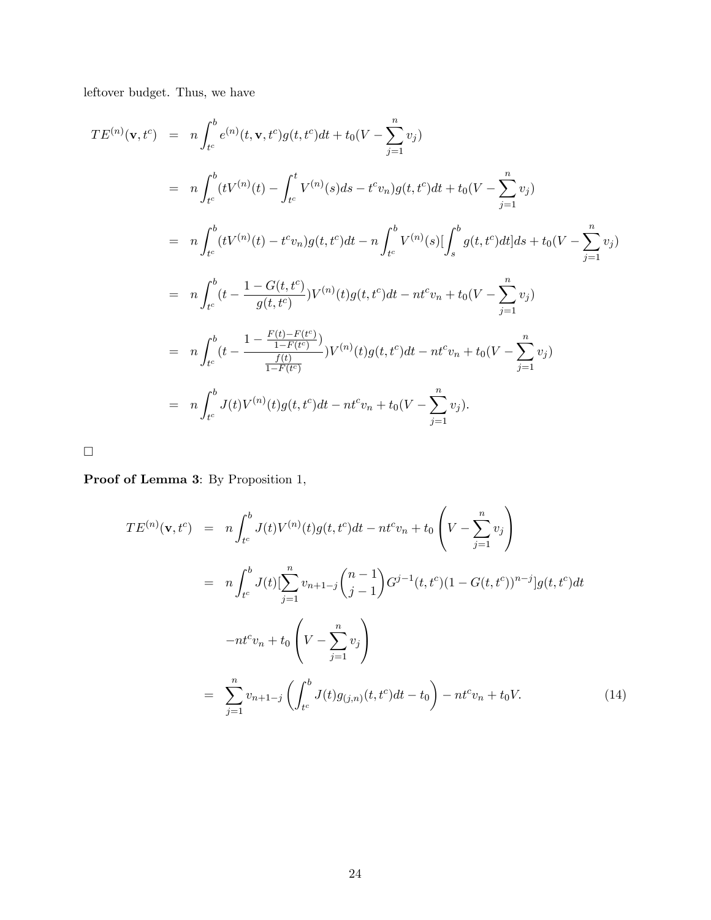leftover budget. Thus, we have

$$
TE^{(n)}(\mathbf{v}, t^c) = n \int_{t^c}^{b} e^{(n)}(t, \mathbf{v}, t^c)g(t, t^c)dt + t_0(V - \sum_{j=1}^n v_j)
$$
  
\n
$$
= n \int_{t^c}^{b} (tV^{(n)}(t) - \int_{t^c}^{t} V^{(n)}(s)ds - t^c v_n)g(t, t^c)dt + t_0(V - \sum_{j=1}^n v_j)
$$
  
\n
$$
= n \int_{t^c}^{b} (tV^{(n)}(t) - t^c v_n)g(t, t^c)dt - n \int_{t^c}^{b} V^{(n)}(s) [\int_{s}^{b} g(t, t^c)dt]ds + t_0(V - \sum_{j=1}^n v_j)
$$
  
\n
$$
= n \int_{t^c}^{b} (t - \frac{1 - G(t, t^c)}{g(t, t^c)})V^{(n)}(t)g(t, t^c)dt - nt^c v_n + t_0(V - \sum_{j=1}^n v_j)
$$
  
\n
$$
= n \int_{t^c}^{b} (t - \frac{1 - \frac{F(t) - F(t^c)}{1 - F(t^c)})}{\frac{f(t)}{1 - F(t^c)}})V^{(n)}(t)g(t, t^c)dt - nt^c v_n + t_0(V - \sum_{j=1}^n v_j)
$$
  
\n
$$
= n \int_{t^c}^{b} J(t)V^{(n)}(t)g(t, t^c)dt - nt^c v_n + t_0(V - \sum_{j=1}^n v_j).
$$

 $\Box$ 

Proof of Lemma [3](#page-10-3): By Proposition [1,](#page-8-1)

$$
TE^{(n)}(\mathbf{v}, t^c) = n \int_{t^c}^{b} J(t)V^{(n)}(t)g(t, t^c)dt - nt^c v_n + t_0 \left(V - \sum_{j=1}^n v_j\right)
$$
  

$$
= n \int_{t^c}^{b} J(t)[\sum_{j=1}^n v_{n+1-j} {n-1 \choose j-1} G^{j-1}(t, t^c) (1 - G(t, t^c))^{n-j}]g(t, t^c)dt
$$
  

$$
-nt^c v_n + t_0 \left(V - \sum_{j=1}^n v_j\right)
$$
  

$$
= \sum_{j=1}^n v_{n+1-j} \left(\int_{t^c}^{b} J(t)g_{(j,n)}(t, t^c)dt - t_0\right) - nt^c v_n + t_0 V.
$$
 (14)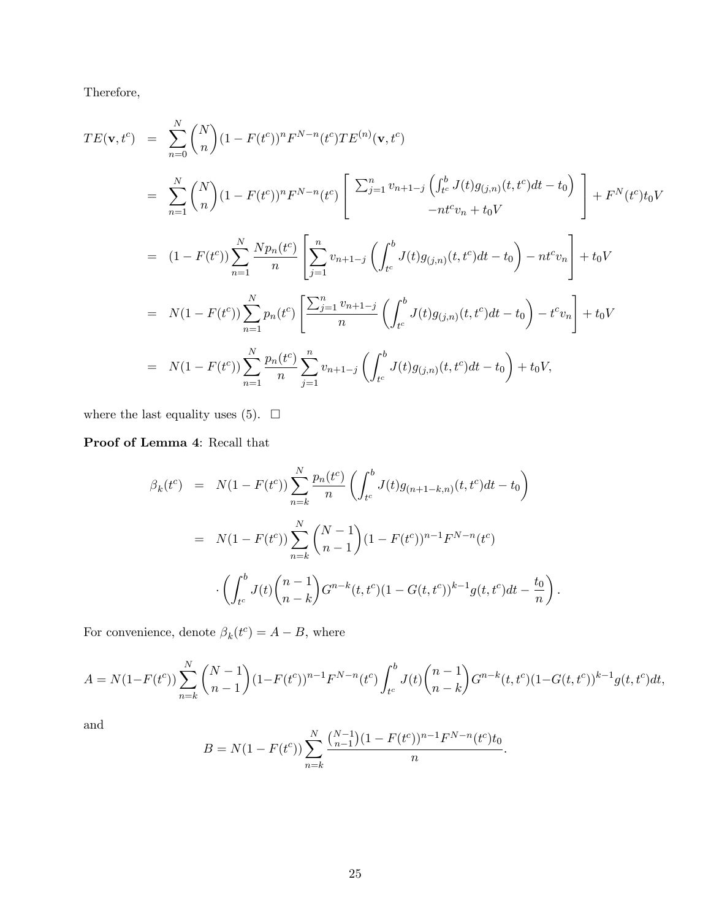Therefore,

$$
TE(\mathbf{v}, t^c) = \sum_{n=0}^{N} {N \choose n} (1 - F(t^c))^n F^{N-n}(t^c) TE^{(n)}(\mathbf{v}, t^c)
$$
  
\n
$$
= \sum_{n=1}^{N} {N \choose n} (1 - F(t^c))^n F^{N-n}(t^c) \left[ \sum_{j=1}^{n} v_{n+1-j} \left( \int_{t^c}^b J(t) g_{(j,n)}(t, t^c) dt - t_0 \right) \right] + F^N(t^c) t_0 V
$$
  
\n
$$
= (1 - F(t^c)) \sum_{n=1}^{N} \frac{N p_n(t^c)}{n} \left[ \sum_{j=1}^{n} v_{n+1-j} \left( \int_{t^c}^b J(t) g_{(j,n)}(t, t^c) dt - t_0 \right) - n t^c v_n \right] + t_0 V
$$
  
\n
$$
= N(1 - F(t^c)) \sum_{n=1}^{N} p_n(t^c) \left[ \frac{\sum_{j=1}^{n} v_{n+1-j}}{n} \left( \int_{t^c}^b J(t) g_{(j,n)}(t, t^c) dt - t_0 \right) - t^c v_n \right] + t_0 V
$$
  
\n
$$
= N(1 - F(t^c)) \sum_{n=1}^{N} \frac{p_n(t^c)}{n} \sum_{j=1}^{n} v_{n+1-j} \left( \int_{t^c}^b J(t) g_{(j,n)}(t, t^c) dt - t_0 \right) + t_0 V,
$$

where the last equality uses [\(5\)](#page-10-1).  $\quad \Box$ 

Proof of Lemma [4](#page-11-4): Recall that

$$
\beta_k(t^c) = N(1 - F(t^c)) \sum_{n=k}^{N} \frac{p_n(t^c)}{n} \left( \int_{t^c}^b J(t) g_{(n+1-k,n)}(t, t^c) dt - t_0 \right)
$$
  

$$
= N(1 - F(t^c)) \sum_{n=k}^{N} {N-1 \choose n-1} (1 - F(t^c))^{n-1} F^{N-n}(t^c)
$$

$$
\cdot \left( \int_{t^c}^b J(t) {n-1 \choose n-k} G^{n-k}(t, t^c) (1 - G(t, t^c))^{k-1} g(t, t^c) dt - \frac{t_0}{n} \right).
$$

For convenience, denote  $\beta_k(t^c) = A - B$ , where

$$
A = N(1 - F(t^c)) \sum_{n=k}^{N} {N-1 \choose n-1} (1 - F(t^c))^{n-1} F^{N-n}(t^c) \int_{t^c}^{b} J(t) {n-1 \choose n-k} G^{n-k}(t, t^c) (1 - G(t, t^c))^{k-1} g(t, t^c) dt,
$$

and

$$
B = N(1 - F(t^c)) \sum_{n=k}^{N} \frac{\binom{N-1}{n-1} (1 - F(t^c))^{n-1} F^{N-n}(t^c) t_0}{n}.
$$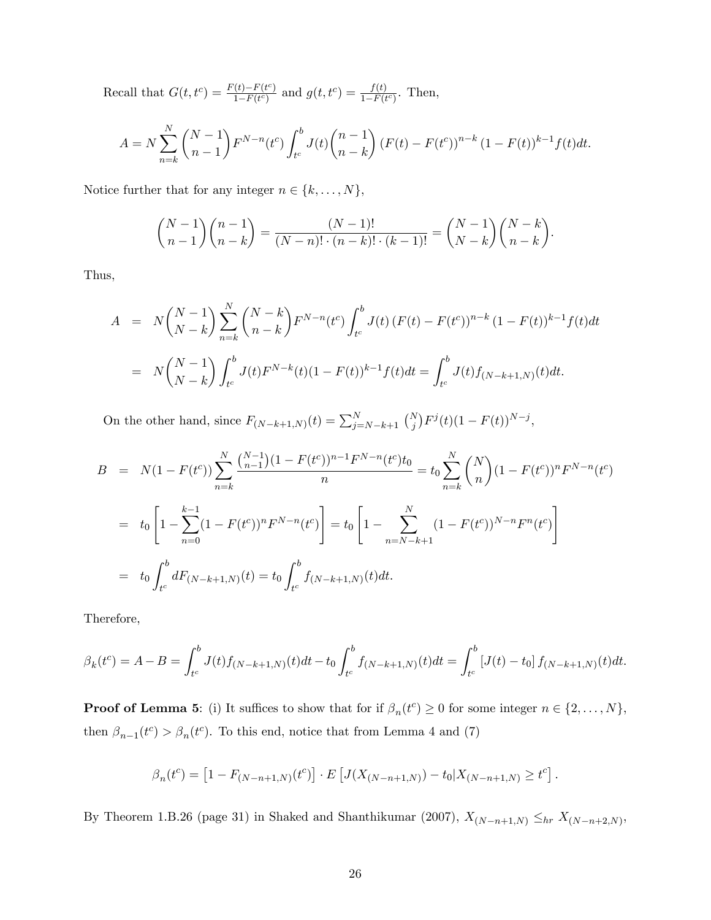Recall that  $G(t, t^c) = \frac{F(t) - F(t^c)}{1 - F(t^c)}$  $\frac{f(t)-F(t^c)}{1-F(t^c)}$  and  $g(t,t^c) = \frac{f(t)}{1-F(t^c)}$ . Then,

$$
A = N \sum_{n=k}^{N} {N-1 \choose n-1} F^{N-n}(t^c) \int_{t^c}^{b} J(t) {n-1 \choose n-k} (F(t) - F(t^c))^{n-k} (1 - F(t))^{k-1} f(t) dt.
$$

Notice further that for any integer  $n \in \{k, \ldots, N\}$ ,

$$
\binom{N-1}{n-1}\binom{n-1}{n-k} = \frac{(N-1)!}{(N-n)! \cdot (n-k)! \cdot (k-1)!} = \binom{N-1}{N-k}\binom{N-k}{n-k}.
$$

Thus,

$$
A = N\binom{N-1}{N-k}\sum_{n=k}^{N}\binom{N-k}{n-k}F^{N-n}(t^c)\int_{t^c}^{b}J(t)\left(F(t) - F(t^c)\right)^{n-k}(1 - F(t))^{k-1}f(t)dt
$$

$$
= N\binom{N-1}{N-k}\int_{t^c}^{b}J(t)F^{N-k}(t)(1 - F(t))^{k-1}f(t)dt = \int_{t^c}^{b}J(t)f_{(N-k+1,N)}(t)dt.
$$

On the other hand, since  $F_{(N-k+1,N)}(t) = \sum_{j=N-k+1}^{N} {N \choose j} F^{j}(t) (1 - F(t))^{N-j}$ ,

$$
B = N(1 - F(t^{c})) \sum_{n=k}^{N} \frac{\binom{N-1}{n-1} (1 - F(t^{c}))^{n-1} F^{N-n}(t^{c}) t_{0}}{n} = t_{0} \sum_{n=k}^{N} \binom{N}{n} (1 - F(t^{c}))^{n} F^{N-n}(t^{c})
$$
  

$$
= t_{0} \left[ 1 - \sum_{n=0}^{k-1} (1 - F(t^{c}))^{n} F^{N-n}(t^{c}) \right] = t_{0} \left[ 1 - \sum_{n=N-k+1}^{N} (1 - F(t^{c}))^{N-n} F^{n}(t^{c}) \right]
$$
  

$$
= t_{0} \int_{t^{c}}^{b} dF_{(N-k+1,N)}(t) = t_{0} \int_{t^{c}}^{b} f_{(N-k+1,N)}(t) dt.
$$

Therefore,

$$
\beta_k(t^c) = A - B = \int_{t^c}^b J(t) f_{(N-k+1,N)}(t) dt - t_0 \int_{t^c}^b f_{(N-k+1,N)}(t) dt = \int_{t^c}^b [J(t) - t_0] f_{(N-k+1,N)}(t) dt.
$$

**Proof of Lemma [5](#page-12-0)**: (i) It suffices to show that for if  $\beta_n(t^c) \geq 0$  for some integer  $n \in \{2, ..., N\}$ , then  $\beta_{n-1}(t^c) > \beta_n(t^c)$ . To this end, notice that from Lemma [4](#page-11-4) and [\(7\)](#page-11-0)

$$
\beta_n(t^c) = \left[1 - F_{(N-n+1,N)}(t^c)\right] \cdot E\left[J(X_{(N-n+1,N)}) - t_0 | X_{(N-n+1,N)} \ge t^c\right].
$$

By Theorem 1.B.26 (page 31) in Shaked and Shanthikumar (2007),  $X_{(N-n+1,N)} \leq_{hr} X_{(N-n+2,N)}$ ,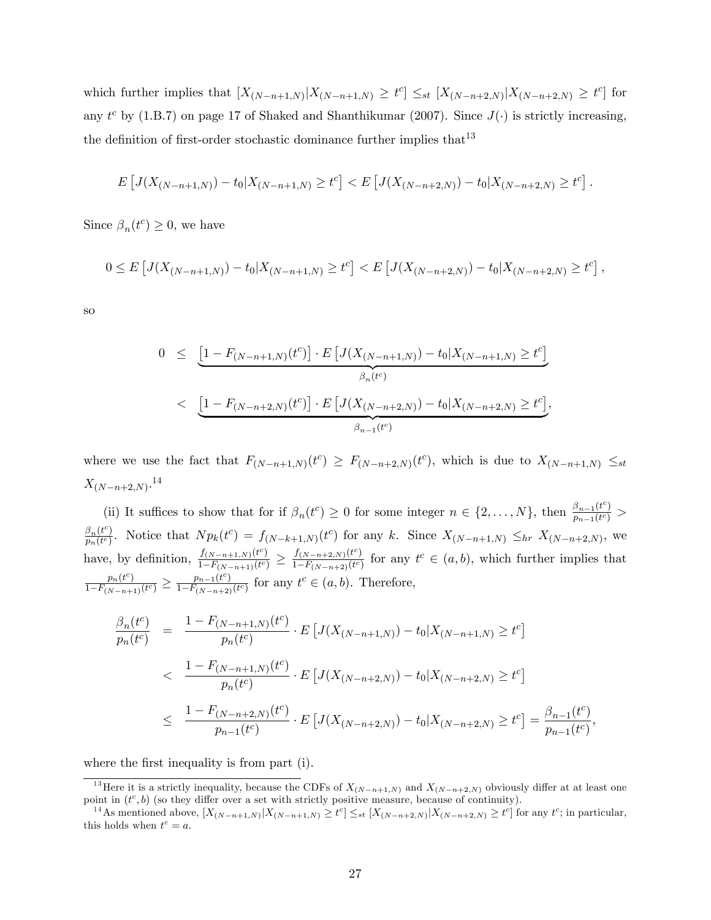which further implies that  $[X_{(N-n+1,N)} | X_{(N-n+1,N)} \geq t^c] \leq_{st} [X_{(N-n+2,N)} | X_{(N-n+2,N)} \geq t^c]$  for any  $t^c$  by (1.B.7) on page 17 of Shaked and Shanthikumar (2007). Since  $J(\cdot)$  is strictly increasing, the definition of first-order stochastic dominance further implies that  $13$ 

$$
E\left[J(X_{(N-n+1,N)}) - t_0 | X_{(N-n+1,N)} \ge t^c\right] < E\left[J(X_{(N-n+2,N)}) - t_0 | X_{(N-n+2,N)} \ge t^c\right].
$$

Since  $\beta_n(t^c) \geq 0$ , we have

$$
0 \le E\left[J(X_{(N-n+1,N)}) - t_0 | X_{(N-n+1,N)} \ge t^c\right] < E\left[J(X_{(N-n+2,N)}) - t_0 | X_{(N-n+2,N)} \ge t^c\right],
$$

so

$$
0 \leq \underbrace{\left[1 - F_{(N-n+1,N)}(t^c)\right] \cdot E\left[J(X_{(N-n+1,N)}) - t_0 | X_{(N-n+1,N)} \geq t^c\right]}_{\beta_n(t^c)}
$$
  
< 
$$
\leq \underbrace{\left[1 - F_{(N-n+2,N)}(t^c)\right] \cdot E\left[J(X_{(N-n+2,N)}) - t_0 | X_{(N-n+2,N)} \geq t^c\right]}_{\beta_{n-1}(t^c)},
$$

where we use the fact that  $F_{(N-n+1,N)}(t^c) \geq F_{(N-n+2,N)}(t^c)$ , which is due to  $X_{(N-n+1,N)} \leq_{st}$  $X_{(N-n+2,N)}$ .<sup>[14](#page-0-0)</sup>

(ii) It suffices to show that for if  $\beta_n(t^c) \geq 0$  for some integer  $n \in \{2, \ldots, N\}$ , then  $\frac{\beta_{n-1}(t^c)}{p_{n-1}(t^c)}$  $\frac{\rho_{n-1}(t)}{p_{n-1}(t^c)}$  >  $\frac{\beta_n(t^c)}{2}$  $\frac{\beta_n(t^c)}{p_n(t^c)}$ . Notice that  $N p_k(t^c) = f_{(N-k+1,N)}(t^c)$  for any k. Since  $X_{(N-n+1,N)} \leq_{hr} X_{(N-n+2,N)}$ , we have, by definition,  $\frac{f_{(N-n+1,N)}(t^c)}{1-F_{(N-1)}(t^c)}$  $\frac{f_{(N-n+1,N)}(t^c)}{1-F_{(N-n+1)}(t^c)} \geq \frac{f_{(N-n+2,N)}(t^c)}{1-F_{(N-n+2)}(t^c)}$  $\frac{f(N-n+2,N)(t^c)}{1-F(N-n+2)}$  for any  $t^c \in (a, b)$ , which further implies that  $p_n(t^c)$  $\frac{p_n(t^c)}{1-F_{(N-n+1)}(t^c)} \geq \frac{p_{n-1}(t^c)}{1-F_{(N-n+2)}}$  $\frac{p_{n-1}(t^c)}{1-F_{(N-n+2)}(t^c)}$  for any  $t^c \in (a, b)$ . Therefore,

$$
\frac{\beta_n(t^c)}{p_n(t^c)} = \frac{1 - F_{(N-n+1,N)}(t^c)}{p_n(t^c)} \cdot E \left[ J(X_{(N-n+1,N)}) - t_0 | X_{(N-n+1,N)} \ge t^c \right]
$$
\n
$$
< \frac{1 - F_{(N-n+1,N)}(t^c)}{p_n(t^c)} \cdot E \left[ J(X_{(N-n+2,N)}) - t_0 | X_{(N-n+2,N)} \ge t^c \right]
$$
\n
$$
\le \frac{1 - F_{(N-n+2,N)}(t^c)}{p_{n-1}(t^c)} \cdot E \left[ J(X_{(N-n+2,N)}) - t_0 | X_{(N-n+2,N)} \ge t^c \right] = \frac{\beta_{n-1}(t^c)}{p_{n-1}(t^c)},
$$

where the first inequality is from part (i).

<sup>&</sup>lt;sup>13</sup>Here it is a strictly inequality, because the CDFs of  $X_{(N-n+1,N)}$  and  $X_{(N-n+2,N)}$  obviously differ at at least one point in  $(t^c, b)$  (so they differ over a set with strictly positive measure, because of continuity).

<sup>&</sup>lt;sup>14</sup> As mentioned above,  $[X_{(N-n+1,N)}|X_{(N-n+1,N)} \ge t^c] \le$   $\le$   $\le$   $[X_{(N-n+2,N)}|X_{(N-n+2,N)} \ge t^c]$  for any  $t^c$ ; in particular, this holds when  $t^c = a$ .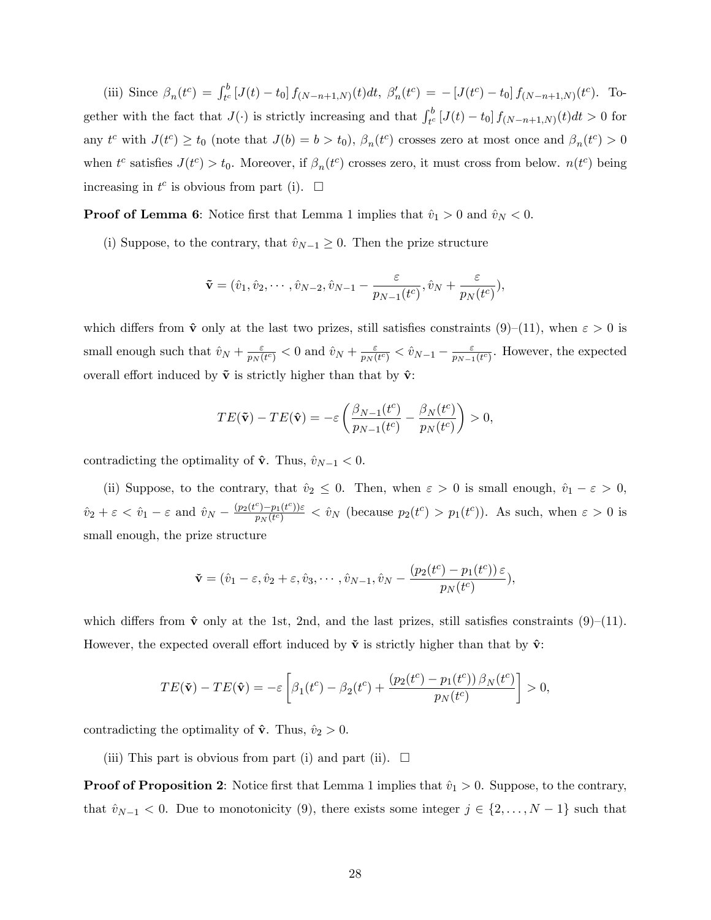(iii) Since  $\beta_n(t^c) = \int_{t^c}^b [J(t) - t_0] f_{(N-n+1,N)}(t) dt$ ,  $\beta'_n(t^c) = -[J(t^c) - t_0] f_{(N-n+1,N)}(t^c)$ . Together with the fact that  $J(\cdot)$  is strictly increasing and that  $\int_{t^c}^b [J(t) - t_0] f_{(N-n+1,N)}(t) dt > 0$  for any  $t^c$  with  $J(t^c) \ge t_0$  (note that  $J(b) = b > t_0$ ),  $\beta_n(t^c)$  crosses zero at most once and  $\beta_n(t^c) > 0$ when  $t^c$  satisfies  $J(t^c) > t_0$ . Moreover, if  $\beta_n(t^c)$  crosses zero, it must cross from below.  $n(t^c)$  being increasing in  $t^c$  is obvious from part (i).  $\Box$ 

**Proof of Lemma [6](#page-13-0):** Notice first that Lemma [1](#page-8-0) implies that  $\hat{v}_1 > 0$  and  $\hat{v}_N < 0$ .

(i) Suppose, to the contrary, that  $\hat{v}_{N-1} \geq 0$ . Then the prize structure

$$
\mathbf{\tilde{v}} = (\hat{v}_1, \hat{v}_2, \cdots, \hat{v}_{N-2}, \hat{v}_{N-1} - \frac{\varepsilon}{p_{N-1}(t^c)}, \hat{v}_N + \frac{\varepsilon}{p_N(t^c)}),
$$

which differs from  $\hat{\mathbf{v}}$  only at the last two prizes, still satisfies constraints [\(9\)](#page-11-3)–[\(11\)](#page-11-2), when  $\varepsilon > 0$  is small enough such that  $\hat{v}_N + \frac{\varepsilon}{n_N}$  $\frac{\varepsilon}{p_N (t^c)} < 0$  and  $\hat{v}_N + \frac{\varepsilon}{p_N (t^c)}$  $\frac{\varepsilon}{p_N (t^c)} < \hat{v}_{N-1} - \frac{\varepsilon}{p_{N-1}}$  $\frac{\varepsilon}{p_{N-1}(t^c)}$ . However, the expected overall effort induced by  $\tilde{\mathbf{v}}$  is strictly higher than that by  $\hat{\mathbf{v}}$ :

$$
TE(\tilde{\mathbf{v}}) - TE(\hat{\mathbf{v}}) = -\varepsilon \left( \frac{\beta_{N-1}(t^c)}{p_{N-1}(t^c)} - \frac{\beta_N(t^c)}{p_N(t^c)} \right) > 0,
$$

contradicting the optimality of  $\hat{\mathbf{v}}$ . Thus,  $\hat{v}_{N-1} < 0$ .

(ii) Suppose, to the contrary, that  $\hat{v}_2 \leq 0$ . Then, when  $\varepsilon > 0$  is small enough,  $\hat{v}_1 - \varepsilon > 0$ ,  $\hat{v}_2 + \varepsilon < \hat{v}_1 - \varepsilon$  and  $\hat{v}_N - \frac{(p_2(t^c) - p_1(t^c))\varepsilon}{p_N(t^c)}$  $\frac{c_{p-p_1(t^c)}(t^c)}{p_N(t^c)} < \hat{v}_N$  (because  $p_2(t^c) > p_1(t^c)$ ). As such, when  $\epsilon > 0$  is small enough, the prize structure

$$
\mathbf{\check{v}}=(\hat{v}_1-\varepsilon,\hat{v}_2+\varepsilon,\hat{v}_3,\cdots,\hat{v}_{N-1},\hat{v}_N-\frac{(p_2(t^c)-p_1(t^c))\,\varepsilon}{p_N(t^c)},
$$

which differs from  $\hat{v}$  only at the 1st, 2nd, and the last prizes, still satisfies constraints [\(9\)](#page-11-3)–[\(11\)](#page-11-2). However, the expected overall effort induced by  $\check{\mathbf{v}}$  is strictly higher than that by  $\hat{\mathbf{v}}$ :

$$
TE(\tilde{\mathbf{v}}) - TE(\hat{\mathbf{v}}) = -\varepsilon \left[ \beta_1(t^c) - \beta_2(t^c) + \frac{(p_2(t^c) - p_1(t^c)) \beta_N(t^c)}{p_N(t^c)} \right] > 0,
$$

contradicting the optimality of  $\hat{\mathbf{v}}$ . Thus,  $\hat{v}_2 > 0$ .

(iii) This part is obvious from part (i) and part (ii).  $\Box$ 

**Proof of Proposition [2](#page-14-0):** Notice first that Lemma [1](#page-8-0) implies that  $\hat{v}_1 > 0$ . Suppose, to the contrary, that  $\hat{v}_{N-1} < 0$ . Due to monotonicity [\(9\)](#page-11-3), there exists some integer  $j \in \{2, ..., N - 1\}$  such that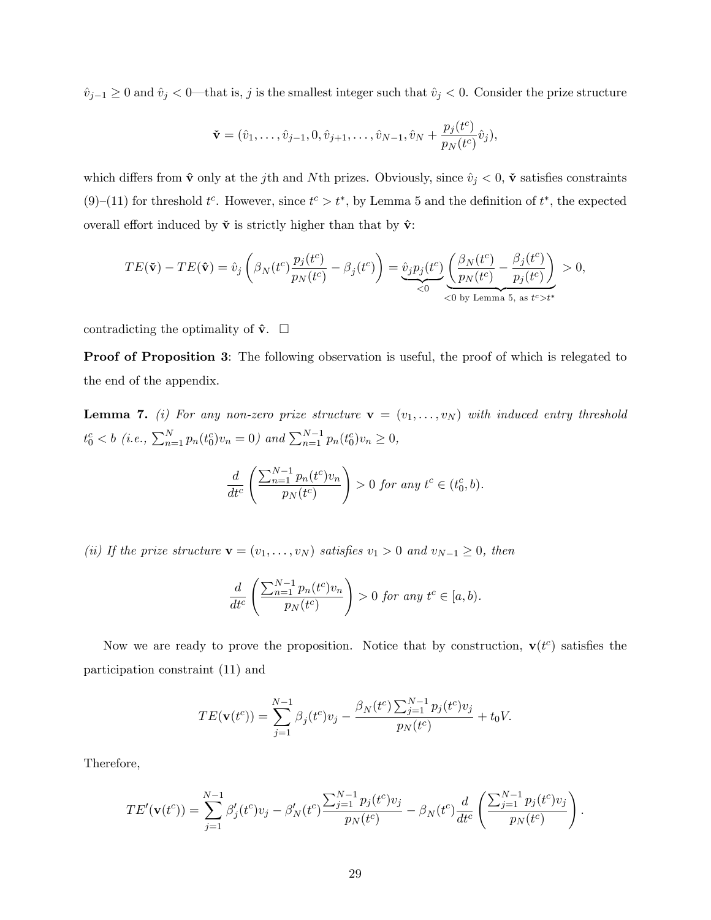$\hat{v}_{j-1} \geq 0$  and  $\hat{v}_j < 0$ —that is, j is the smallest integer such that  $\hat{v}_j < 0$ . Consider the prize structure

$$
\mathbf{\check{v}} = (\hat{v}_1, \dots, \hat{v}_{j-1}, 0, \hat{v}_{j+1}, \dots, \hat{v}_{N-1}, \hat{v}_N + \frac{p_j(t^c)}{p_N(t^c)} \hat{v}_j),
$$

which differs from  $\hat{\mathbf{v}}$  only at the jth and Nth prizes. Obviously, since  $\hat{v}_j < 0$ ,  $\check{\mathbf{v}}$  satisfies constraints [\(9\)](#page-11-3)–[\(11\)](#page-11-2) for threshold  $t^c$ . However, since  $t^c > t^*$ , by Lemma [5](#page-12-0) and the definition of  $t^*$ , the expected overall effort induced by  $\tilde{\mathbf{v}}$  is strictly higher than that by  $\hat{\mathbf{v}}$ :

$$
TE(\tilde{\mathbf{v}}) - TE(\hat{\mathbf{v}}) = \hat{v}_j \left( \beta_N(t^c) \frac{p_j(t^c)}{p_N(t^c)} - \beta_j(t^c) \right) = \underbrace{\hat{v}_j p_j(t^c)}_{\leq 0} \underbrace{\left( \frac{\beta_N(t^c)}{p_N(t^c)} - \frac{\beta_j(t^c)}{p_j(t^c)} \right)}_{\leq 0 \text{ by Lemma 5, as } t^c > t^*} > 0,
$$

contradicting the optimality of  $\hat{\mathbf{v}}$ .  $\Box$ 

Proof of Proposition [3](#page-15-0): The following observation is useful, the proof of which is relegated to the end of the appendix.

<span id="page-28-0"></span>**Lemma 7.** (i) For any non-zero prize structure  $\mathbf{v} = (v_1, \ldots, v_N)$  with induced entry threshold  $t_0^c < b$  (i.e.,  $\sum_{n=1}^{N} p_n(t_0^c) v_n = 0$ ) and  $\sum_{n=1}^{N-1} p_n(t_0^c) v_n \ge 0$ ,

$$
\frac{d}{dt^c} \left( \frac{\sum_{n=1}^{N-1} p_n(t^c) v_n}{p_N(t^c)} \right) > 0 \text{ for any } t^c \in (t_0^c, b).
$$

(ii) If the prize structure  $\mathbf{v} = (v_1, \dots, v_N)$  satisfies  $v_1 > 0$  and  $v_{N-1} \geq 0$ , then

$$
\frac{d}{dt^c} \left( \frac{\sum_{n=1}^{N-1} p_n(t^c) v_n}{p_N(t^c)} \right) > 0 \text{ for any } t^c \in [a, b).
$$

Now we are ready to prove the proposition. Notice that by construction,  $\mathbf{v}(t^c)$  satisfies the participation constraint [\(11\)](#page-11-2) and

$$
TE(\mathbf{v}(t^c)) = \sum_{j=1}^{N-1} \beta_j(t^c) v_j - \frac{\beta_N(t^c) \sum_{j=1}^{N-1} p_j(t^c) v_j}{p_N(t^c)} + t_0 V.
$$

Therefore,

$$
TE'(\mathbf{v}(t^c)) = \sum_{j=1}^{N-1} \beta'_j(t^c) v_j - \beta'_N(t^c) \frac{\sum_{j=1}^{N-1} p_j(t^c) v_j}{p_N(t^c)} - \beta_N(t^c) \frac{d}{dt^c} \left( \frac{\sum_{j=1}^{N-1} p_j(t^c) v_j}{p_N(t^c)} \right).
$$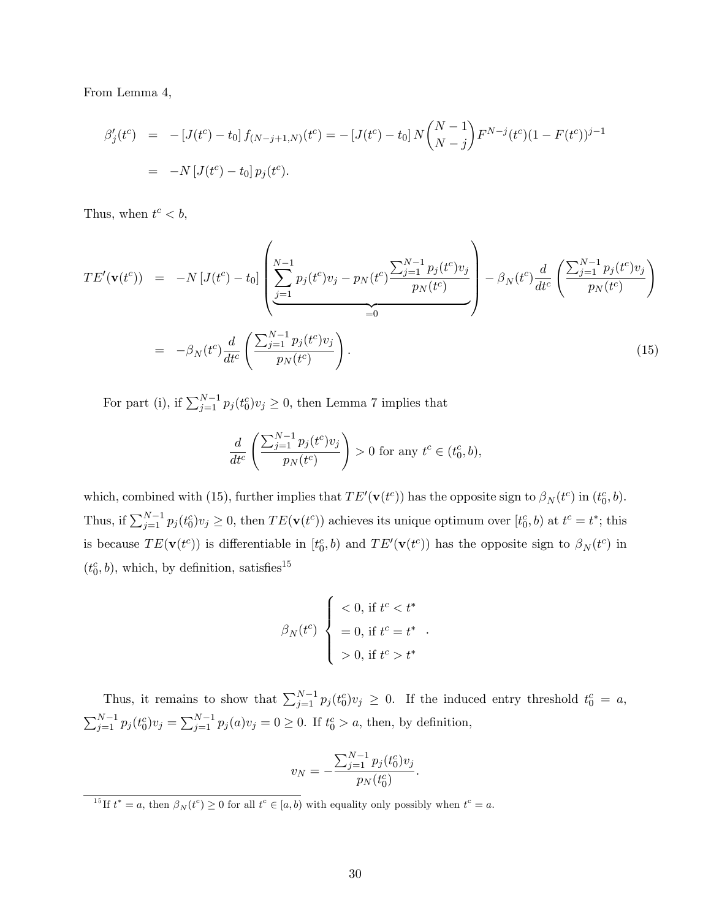From Lemma [4,](#page-11-4)

$$
\beta'_j(t^c) = -[J(t^c) - t_0] f_{(N-j+1,N)}(t^c) = -[J(t^c) - t_0] N {N-1 \choose N-j} F^{N-j} (t^c) (1 - F(t^c))^{j-1}
$$
  
= -N [J(t^c) - t\_0] p\_j(t^c).

Thus, when  $t^c < b$ ,

<span id="page-29-0"></span>
$$
TE'(\mathbf{v}(t^{c})) = -N [J(t^{c}) - t_{0}] \left( \sum_{j=1}^{N-1} p_{j}(t^{c}) v_{j} - p_{N}(t^{c}) \frac{\sum_{j=1}^{N-1} p_{j}(t^{c}) v_{j}}{p_{N}(t^{c})} \right) - \beta_{N}(t^{c}) \frac{d}{dt^{c}} \left( \frac{\sum_{j=1}^{N-1} p_{j}(t^{c}) v_{j}}{p_{N}(t^{c})} \right)
$$
  

$$
= -\beta_{N}(t^{c}) \frac{d}{dt^{c}} \left( \frac{\sum_{j=1}^{N-1} p_{j}(t^{c}) v_{j}}{p_{N}(t^{c})} \right).
$$
(15)

For part (i), if  $\sum_{j=1}^{N-1} p_j(t_0^c) v_j \geq 0$ , then Lemma [7](#page-28-0) implies that

$$
\frac{d}{dt^{c}}\left(\frac{\sum_{j=1}^{N-1} p_{j}(t^{c})v_{j}}{p_{N}(t^{c})}\right) > 0 \text{ for any } t^{c} \in (t_{0}^{c}, b),
$$

which, combined with [\(15\)](#page-29-0), further implies that  $TE'(\mathbf{v}(t^c))$  has the opposite sign to  $\beta_N(t^c)$  in  $(t_0^c, b)$ . Thus, if  $\sum_{j=1}^{N-1} p_j(t_0^c) v_j \geq 0$ , then  $TE(\mathbf{v}(t^c))$  achieves its unique optimum over  $[t_0^c, b)$  at  $t^c = t^*$ ; this is because  $TE(\mathbf{v}(t^c))$  is differentiable in  $[t_0^c, b)$  and  $TE'(\mathbf{v}(t^c))$  has the opposite sign to  $\beta_N(t^c)$  in  $(t_0^c, b)$ , which, by definition, satisfies<sup>[15](#page-0-0)</sup>

$$
\beta_N(t^c) \begin{cases} < 0 \text{, if } t^c < t^* \\ & = 0 \text{, if } t^c = t^* \\ & > 0 \text{, if } t^c > t^* \end{cases}
$$

:

Thus, it remains to show that  $\sum_{j=1}^{N-1} p_j(t_0^c)v_j \geq 0$ . If the induced entry threshold  $t_0^c = a$ ,  $\sum_{j=1}^{N-1} p_j(t_0^c)v_j = \sum_{j=1}^{N-1} p_j(a)v_j = 0 \ge 0$ . If  $t_0^c > a$ , then, by definition,

$$
v_N = -\frac{\sum_{j=1}^{N-1} p_j(t_0^c) v_j}{p_N(t_0^c)}.
$$

<sup>15</sup>If  $t^* = a$ , then  $\beta_N(t^c) \ge 0$  for all  $t^c \in [a, b)$  with equality only possibly when  $t^c = a$ .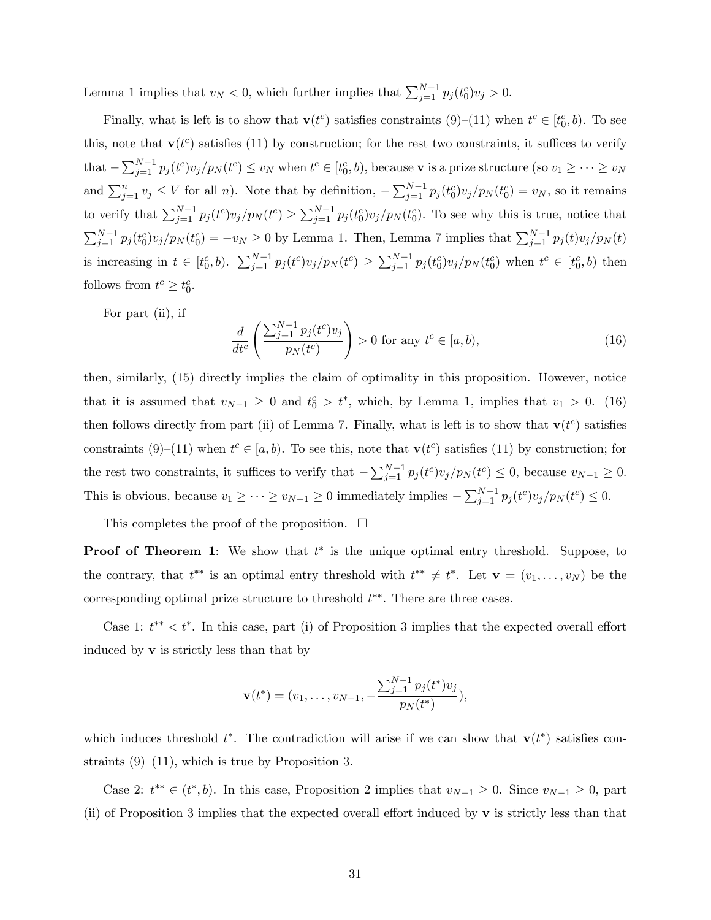Lemma [1](#page-8-0) implies that  $v_N < 0$ , which further implies that  $\sum_{j=1}^{N-1} p_j(t_0^c) v_j > 0$ .

Finally, what is left is to show that  $\mathbf{v}(t^c)$  satisfies constraints  $(9)$ – $(11)$  when  $t^c \in [t_0^c, b)$ . To see this, note that  $\mathbf{v}(t^c)$  satisfies [\(11\)](#page-11-2) by construction; for the rest two constraints, it suffices to verify that  $-\sum_{j=1}^{N-1} p_j(t^c) v_j/p_N(t^c) \le v_N$  when  $t^c \in [t_0^c, b)$ , because **v** is a prize structure (so  $v_1 \ge \cdots \ge v_N$ and  $\sum_{j=1}^n v_j \leq V$  for all n). Note that by definition,  $-\sum_{j=1}^{N-1} p_j(t_0^c) v_j/p_N(t_0^c) = v_N$ , so it remains to verify that  $\sum_{j=1}^{N-1} p_j(t^c) v_j/p_N(t^c) \ge \sum_{j=1}^{N-1} p_j(t_0^c) v_j/p_N(t_0^c)$ . To see why this is true, notice that  $\sum_{j=1}^{N-1} p_j(t_0^c) v_j/p_N(t_0^c) = -v_N \ge 0$  by Lemma [1.](#page-8-0) Then, Lemma [7](#page-28-0) implies that  $\sum_{j=1}^{N-1} p_j(t) v_j/p_N(t)$ is increasing in  $t \in [t_0^c, b)$ .  $\sum_{j=1}^{N-1} p_j(t^c) v_j/p_N(t^c) \ge \sum_{j=1}^{N-1} p_j(t_0^c) v_j/p_N(t_0^c)$  when  $t^c \in [t_0^c, b)$  then follows from  $t^c \geq t_0^c$ .

For part (ii), if

<span id="page-30-0"></span>
$$
\frac{d}{dt^c} \left( \frac{\sum_{j=1}^{N-1} p_j(t^c) v_j}{p_N(t^c)} \right) > 0 \text{ for any } t^c \in [a, b),\tag{16}
$$

then, similarly, [\(15\)](#page-29-0) directly implies the claim of optimality in this proposition. However, notice that it is assumed that  $v_{N-1} \geq 0$  and  $t_0^c > t^*$ , which, by Lemma [1,](#page-8-0) implies that  $v_1 > 0$ . [\(16\)](#page-30-0) then follows directly from part (ii) of Lemma [7.](#page-28-0) Finally, what is left is to show that  $\mathbf{v}(t^c)$  satisfies constraints [\(9\)](#page-11-3)–[\(11\)](#page-11-2) when  $t^c \in [a, b)$ . To see this, note that  $\mathbf{v}(t^c)$  satisfies (11) by construction; for the rest two constraints, it suffices to verify that  $-\sum_{j=1}^{N-1} p_j(t^c) v_j/p_N(t^c) \leq 0$ , because  $v_{N-1} \geq 0$ . This is obvious, because  $v_1 \geq \cdots \geq v_{N-1} \geq 0$  immediately implies  $-\sum_{j=1}^{N-1} p_j(t^c) v_j/p_N(t^c) \leq 0$ .

This completes the proof of the proposition.  $\Box$ 

**Proof of Theorem [1](#page-15-1)**: We show that  $t^*$  is the unique optimal entry threshold. Suppose, to the contrary, that  $t^{**}$  is an optimal entry threshold with  $t^{**} \neq t^*$ . Let  $\mathbf{v} = (v_1, \ldots, v_N)$  be the corresponding optimal prize structure to threshold  $t^{**}$ . There are three cases.

Case 1:  $t^{**} < t^*$ . In this case, part (i) of Proposition [3](#page-15-0) implies that the expected overall effort induced by  $\bf{v}$  is strictly less than that by

$$
\mathbf{v}(t^*) = (v_1, \dots, v_{N-1}, -\frac{\sum_{j=1}^{N-1} p_j(t^*)v_j}{p_N(t^*)}),
$$

which induces threshold  $t^*$ . The contradiction will arise if we can show that  $\mathbf{v}(t^*)$  satisfies constraints  $(9)$ – $(11)$ , which is true by Proposition [3.](#page-15-0)

Case [2](#page-14-0):  $t^{**} \in (t^*, b)$ . In this case, Proposition 2 implies that  $v_{N-1} \geq 0$ . Since  $v_{N-1} \geq 0$ , part (ii) of Proposition [3](#page-15-0) implies that the expected overall effort induced by  $\bf{v}$  is strictly less than that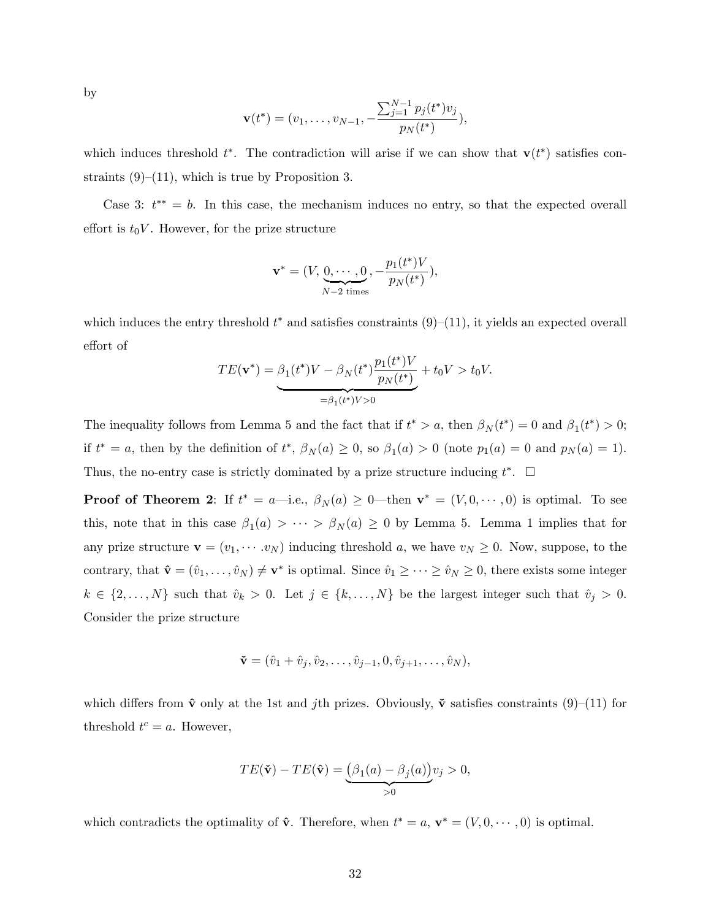by

$$
\mathbf{v}(t^*) = (v_1, \dots, v_{N-1}, -\frac{\sum_{j=1}^{N-1} p_j(t^*)v_j}{p_N(t^*)}),
$$

which induces threshold  $t^*$ . The contradiction will arise if we can show that  $\mathbf{v}(t^*)$  satisfies constraints  $(9)-(11)$  $(9)-(11)$  $(9)-(11)$ , which is true by Proposition [3.](#page-15-0)

Case 3:  $t^{**} = b$ . In this case, the mechanism induces no entry, so that the expected overall effort is  $t_0V$ . However, for the prize structure

$$
\mathbf{v}^* = (V, \underbrace{0, \cdots, 0}_{N-2 \text{ times}}, -\frac{p_1(t^*)V}{p_N(t^*)}),
$$

which induces the entry threshold  $t^*$  and satisfies constraints  $(9)$ – $(11)$ , it yields an expected overall effort of

$$
TE(\mathbf{v}^*) = \underbrace{\beta_1(t^*)V - \beta_N(t^*)\frac{p_1(t^*)V}{p_N(t^*)}}_{=\beta_1(t^*)V > 0} + t_0V > t_0V.
$$

The inequality follows from Lemma [5](#page-12-0) and the fact that if  $t^* > a$ , then  $\beta_N(t^*) = 0$  and  $\beta_1(t^*) > 0$ ; if  $t^* = a$ , then by the definition of  $t^*, \beta_N(a) \geq 0$ , so  $\beta_1(a) > 0$  (note  $p_1(a) = 0$  and  $p_N(a) = 1$ ). Thus, the no-entry case is strictly dominated by a prize structure inducing  $t^*$ .  $\Box$ 

**Proof of Theorem [2](#page-16-0):** If  $t^* = a$ —i.e.,  $\beta_N(a) \geq 0$ —then  $\mathbf{v}^* = (V, 0, \dots, 0)$  is optimal. To see this, note that in this case  $\beta_1(a) > \cdots > \beta_N(a) \geq 0$  $\beta_1(a) > \cdots > \beta_N(a) \geq 0$  $\beta_1(a) > \cdots > \beta_N(a) \geq 0$  by Lemma [5.](#page-12-0) Lemma 1 implies that for any prize structure  $\mathbf{v} = (v_1, \dots, v_N)$  inducing threshold a, we have  $v_N \geq 0$ . Now, suppose, to the contrary, that  $\hat{\mathbf{v}} = (\hat{v}_1, \dots, \hat{v}_N) \neq \mathbf{v}^*$  is optimal. Since  $\hat{v}_1 \geq \dots \geq \hat{v}_N \geq 0$ , there exists some integer  $k \in \{2, \ldots, N\}$  such that  $\hat{v}_k > 0$ . Let  $j \in \{k, \ldots, N\}$  be the largest integer such that  $\hat{v}_j > 0$ . Consider the prize structure

$$
\mathbf{\check{v}} = (\hat{v}_1 + \hat{v}_j, \hat{v}_2, \dots, \hat{v}_{j-1}, 0, \hat{v}_{j+1}, \dots, \hat{v}_N),
$$

which differs from  $\hat{v}$  only at the 1st and jth prizes. Obviously,  $\check{v}$  satisfies constraints [\(9\)](#page-11-3)–[\(11\)](#page-11-2) for threshold  $t^c = a$ . However,

$$
TE(\tilde{\mathbf{v}}) - TE(\hat{\mathbf{v}}) = \underbrace{(\beta_1(a) - \beta_j(a))}_{>0} v_j > 0,
$$

which contradicts the optimality of  $\hat{\mathbf{v}}$ . Therefore, when  $t^* = a$ ,  $\mathbf{v}^* = (V, 0, \dots, 0)$  is optimal.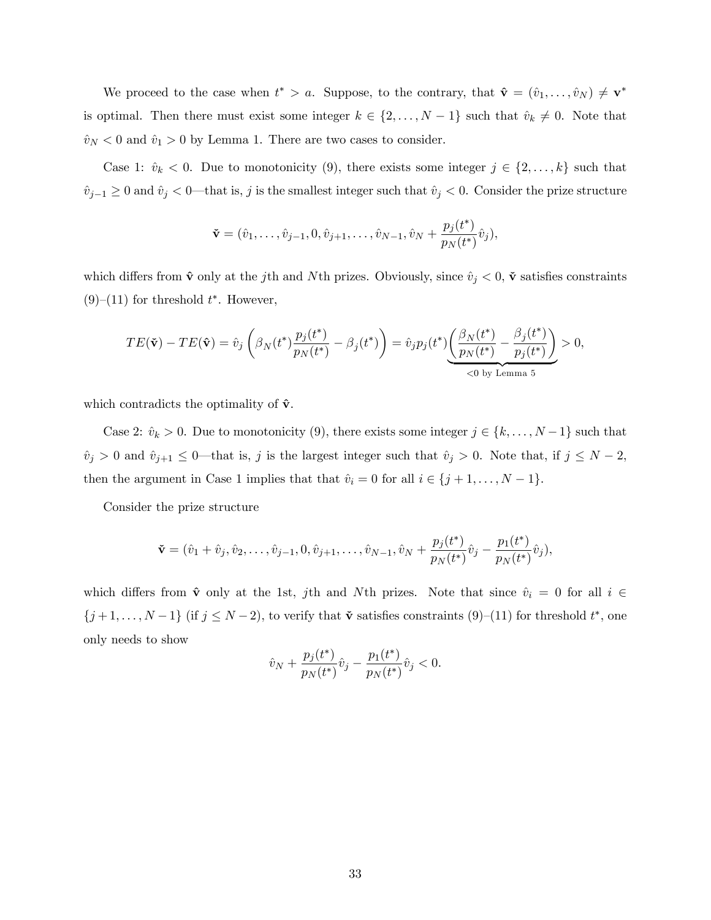We proceed to the case when  $t^* > a$ . Suppose, to the contrary, that  $\hat{\mathbf{v}} = (\hat{v}_1, \dots, \hat{v}_N) \neq \mathbf{v}^*$ is optimal. Then there must exist some integer  $k \in \{2, ..., N-1\}$  such that  $\hat{v}_k \neq 0$ . Note that  $\hat{v}_N < 0$  and  $\hat{v}_1 > 0$  by Lemma [1.](#page-8-0) There are two cases to consider.

Case 1:  $\hat{v}_k < 0$ . Due to monotonicity [\(9\)](#page-11-3), there exists some integer  $j \in \{2, ..., k\}$  such that  $\hat{v}_{j-1} \geq 0$  and  $\hat{v}_j < 0$ —that is, j is the smallest integer such that  $\hat{v}_j < 0$ . Consider the prize structure

$$
\mathbf{\check{v}} = (\hat{v}_1, \dots, \hat{v}_{j-1}, 0, \hat{v}_{j+1}, \dots, \hat{v}_{N-1}, \hat{v}_N + \frac{p_j(t^*)}{p_N(t^*)} \hat{v}_j),
$$

which differs from  $\hat{\mathbf{v}}$  only at the jth and Nth prizes. Obviously, since  $\hat{v}_j < 0$ ,  $\check{\mathbf{v}}$  satisfies constraints  $(9)$ – $(11)$  for threshold  $t^*$ . However,

$$
TE(\tilde{\mathbf{v}}) - TE(\hat{\mathbf{v}}) = \hat{v}_j \left( \beta_N(t^*) \frac{p_j(t^*)}{p_N(t^*)} - \beta_j(t^*) \right) = \hat{v}_j p_j(t^*) \underbrace{\left( \frac{\beta_N(t^*)}{p_N(t^*)} - \frac{\beta_j(t^*)}{p_j(t^*)} \right)}_{\text{<0 by Lemma 5}} > 0,
$$

which contradicts the optimality of  $\hat{\mathbf{v}}$ .

Case 2:  $\hat{v}_k > 0$ . Due to monotonicity [\(9\)](#page-11-3), there exists some integer  $j \in \{k, ..., N-1\}$  such that  $\hat{v}_j > 0$  and  $\hat{v}_{j+1} \leq 0$ —that is, j is the largest integer such that  $\hat{v}_j > 0$ . Note that, if  $j \leq N - 2$ , then the argument in Case 1 implies that that  $\hat{v}_i = 0$  for all  $i \in \{j + 1, \ldots, N - 1\}.$ 

Consider the prize structure

$$
\mathbf{\check{v}} = (\hat{v}_1 + \hat{v}_j, \hat{v}_2, \dots, \hat{v}_{j-1}, 0, \hat{v}_{j+1}, \dots, \hat{v}_{N-1}, \hat{v}_N + \frac{p_j(t^*)}{p_N(t^*)}\hat{v}_j - \frac{p_1(t^*)}{p_N(t^*)}\hat{v}_j),
$$

which differs from  $\hat{\mathbf{v}}$  only at the 1st, jth and Nth prizes. Note that since  $\hat{v}_i = 0$  for all  $i \in$  $\{j+1,\ldots,N-1\}$  (if  $j \leq N-2$ ), to verify that  $\check{\mathbf{v}}$  satisfies constraints [\(9\)](#page-11-3)–[\(11\)](#page-11-2) for threshold  $t^*$ , one only needs to show

$$
\hat{v}_N + \frac{p_j(t^*)}{p_N(t^*)}\hat{v}_j - \frac{p_1(t^*)}{p_N(t^*)}\hat{v}_j < 0.
$$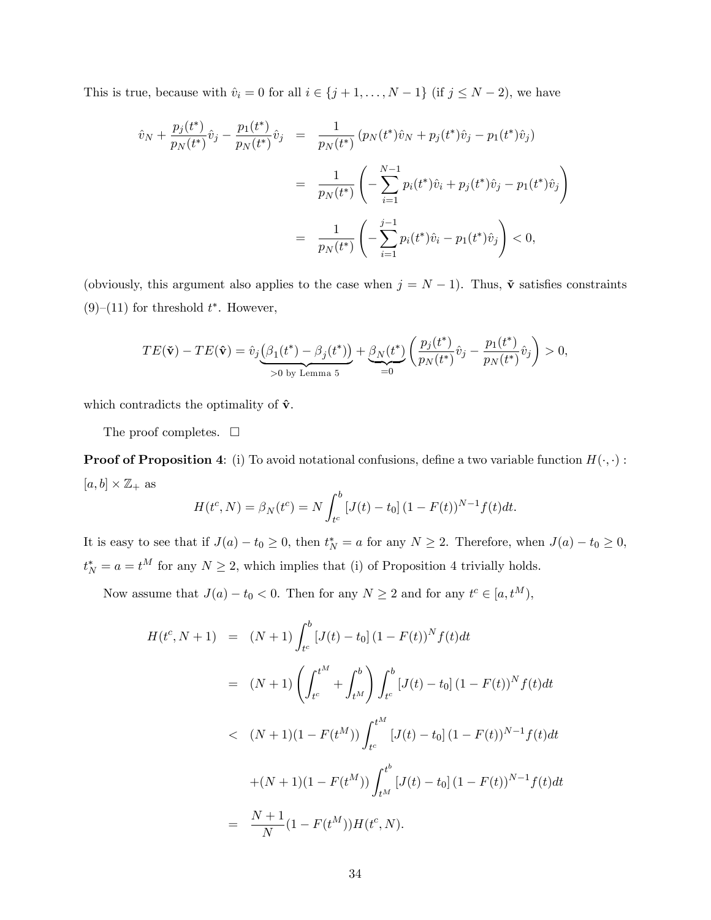This is true, because with  $\hat{v}_i = 0$  for all  $i \in \{j + 1, \ldots, N - 1\}$  (if  $j \le N - 2$ ), we have

$$
\hat{v}_N + \frac{p_j(t^*)}{p_N(t^*)}\hat{v}_j - \frac{p_1(t^*)}{p_N(t^*)}\hat{v}_j = \frac{1}{p_N(t^*)}\left(p_N(t^*)\hat{v}_N + p_j(t^*)\hat{v}_j - p_1(t^*)\hat{v}_j\right)
$$
\n
$$
= \frac{1}{p_N(t^*)}\left(-\sum_{i=1}^{N-1}p_i(t^*)\hat{v}_i + p_j(t^*)\hat{v}_j - p_1(t^*)\hat{v}_j\right)
$$
\n
$$
= \frac{1}{p_N(t^*)}\left(-\sum_{i=1}^{j-1}p_i(t^*)\hat{v}_i - p_1(t^*)\hat{v}_j\right) < 0,
$$

(obviously, this argument also applies to the case when  $j = N - 1$ ). Thus,  $\tilde{\mathbf{v}}$  satisfies constraints  $(9)$ – $(11)$  for threshold  $t^*$ . However,

$$
TE(\tilde{\mathbf{v}}) - TE(\hat{\mathbf{v}}) = \hat{v}_j \underbrace{\left(\beta_1(t^*) - \beta_j(t^*)\right)}_{>0 \text{ by Lemma 5}} + \underbrace{\beta_N(t^*)}_{=0} \left(\frac{p_j(t^*)}{p_N(t^*)}\hat{v}_j - \frac{p_1(t^*)}{p_N(t^*)}\hat{v}_j\right) > 0,
$$

which contradicts the optimality of  $\hat{\mathbf{v}}$ .

The proof completes.  $\Box$ 

**Proof of Proposition [4](#page-19-0)**: (i) To avoid notational confusions, define a two variable function  $H(\cdot, \cdot)$ :  $[a, b] \times \mathbb{Z}_+$  as

$$
H(t^{c}, N) = \beta_{N}(t^{c}) = N \int_{t^{c}}^{b} [J(t) - t_{0}] (1 - F(t))^{N-1} f(t) dt.
$$

It is easy to see that if  $J(a) - t_0 \ge 0$ , then  $t_N^* = a$  for any  $N \ge 2$ . Therefore, when  $J(a) - t_0 \ge 0$ ,  $t_N^* = a = t^M$  for any  $N \geq 2$ , which implies that (i) of Proposition [4](#page-19-0) trivially holds.

Now assume that  $J(a) - t_0 < 0$ . Then for any  $N \ge 2$  and for any  $t^c \in [a, t^M)$ ,

$$
H(t^c, N+1) = (N+1) \int_{t^c}^b [J(t) - t_0] (1 - F(t))^N f(t) dt
$$
  
\n
$$
= (N+1) \left( \int_{t^c}^{t^M} + \int_{t^M}^b \right) \int_{t^c}^b [J(t) - t_0] (1 - F(t))^N f(t) dt
$$
  
\n
$$
< (N+1)(1 - F(t^M)) \int_{t^c}^{t^M} [J(t) - t_0] (1 - F(t))^{N-1} f(t) dt
$$
  
\n
$$
+ (N+1)(1 - F(t^M)) \int_{t^M}^{t^b} [J(t) - t_0] (1 - F(t))^{N-1} f(t) dt
$$
  
\n
$$
= \frac{N+1}{N} (1 - F(t^M)) H(t^c, N).
$$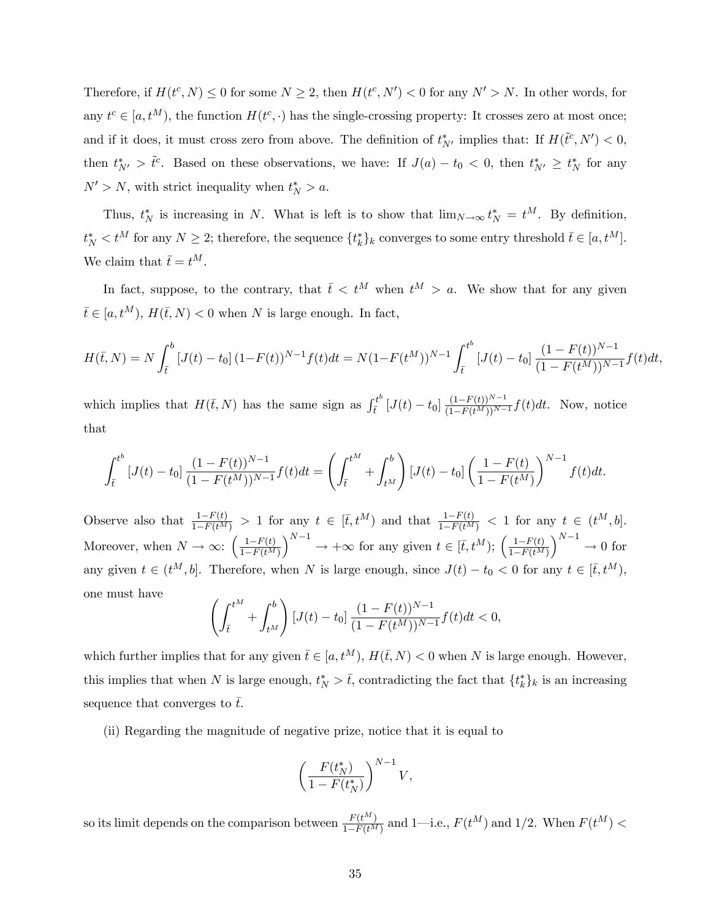Therefore, if  $H(t^c, N) \leq 0$  for some  $N \geq 2$ , then  $H(t^c, N') < 0$  for any  $N' > N$ . In other words, for any  $t^c \in [a, t^M)$ , the function  $H(t^c, \cdot)$  has the single-crossing property: It crosses zero at most once; and if it does, it must cross zero from above. The definition of  $t^*_{N'}$  implies that: If  $H(\tilde{t}^c, N') < 0$ , then  $t^*_{N'} > \tilde{t}^c$ . Based on these observations, we have: If  $J(a) - t_0 < 0$ , then  $t^*_{N'} \geq t^*_{N}$  for any  $N' > N$ , with strict inequality when  $t_N^* > a$ .

Thus,  $t_N^*$  is increasing in N. What is left is to show that  $\lim_{N\to\infty} t_N^* = t^M$ . By definition,  $t_N^* < t^M$  for any  $N \geq 2$ ; therefore, the sequence  $\{t_k^*\}_k$  converges to some entry threshold  $\bar{t} \in [a, t^M]$ . We claim that  $\bar{t} = t^M$ .

In fact, suppose, to the contrary, that  $\bar{t} < t^M$  when  $t^M > a$ . We show that for any given  $\bar{t} \in [a, t^M), H(\bar{t}, N) < 0$  when N is large enough. In fact,

$$
H(\bar{t},N) = N \int_{\bar{t}}^{b} \left[ J(t) - t_0 \right] (1 - F(t))^{N-1} f(t) dt = N (1 - F(t^M))^{N-1} \int_{\bar{t}}^{t^b} \left[ J(t) - t_0 \right] \frac{(1 - F(t))^{N-1}}{(1 - F(t^M))^{N-1}} f(t) dt,
$$

which implies that  $H(\bar{t}, N)$  has the same sign as  $\int_{\bar{t}}^{t^b}$  $\frac{t^{b}}{t^{t}}[J(t) - t_{0}] \frac{(1 - F(t))^{N-1}}{(1 - F(t^{M}))^{N-1}} f(t) dt$ . Now, notice that

$$
\int_{\bar{t}}^{t^b} \left[ J(t) - t_0 \right] \frac{(1 - F(t))^{N-1}}{(1 - F(t^M))^{N-1}} f(t) dt = \left( \int_{\bar{t}}^{t^M} + \int_{t^M}^b \right) \left[ J(t) - t_0 \right] \left( \frac{1 - F(t)}{1 - F(t^M)} \right)^{N-1} f(t) dt.
$$

Observe also that  $\frac{1-F(t)}{1-F(t^M)} > 1$  for any  $t \in [\bar{t}, t^M)$  and that  $\frac{1-F(t)}{1-F(t^M)} < 1$  for any  $t \in (t^M, b]$ . Moreover, when  $N \to \infty$ :  $\left( \frac{1-F(t)}{1-F(t^M)} \right)$  $1-F(t^M)$  $\left(\begin{matrix}N-1 \\ -\end{matrix}\right) \rightarrow +\infty$  for any given  $t \in [\bar{t}, t^M);$   $\left(\frac{1-F(t)}{1-F(t^M)}\right)$  $1-F(t^M)$  $\big)^{N-1}\rightarrow 0$  for any given  $t \in (t^M, b]$ . Therefore, when N is large enough, since  $J(t) - t_0 < 0$  for any  $t \in [\bar{t}, t^M)$ , one must have

$$
\left(\int_{\bar{t}}^{t^M} + \int_{t^M}^b \right) [J(t) - t_0] \frac{(1 - F(t))^{N-1}}{(1 - F(t^M))^{N-1}} f(t) dt < 0,
$$

which further implies that for any given  $\bar{t} \in [a, t^M)$ ,  $H(\bar{t}, N) < 0$  when N is large enough. However, this implies that when N is large enough,  $t_N^* > \bar{t}$ , contradicting the fact that  $\{t_k^*\}_k$  is an increasing sequence that converges to  $\bar{t}$ .

(ii) Regarding the magnitude of negative prize, notice that it is equal to

$$
\left(\frac{F(t_N^*)}{1-F(t_N^*)}\right)^{N-1}V,
$$

so its limit depends on the comparison between  $\frac{F(t^M)}{1-F(t^M)}$  and 1-i.e.,  $F(t^M)$  and 1/2. When  $F(t^M)$  <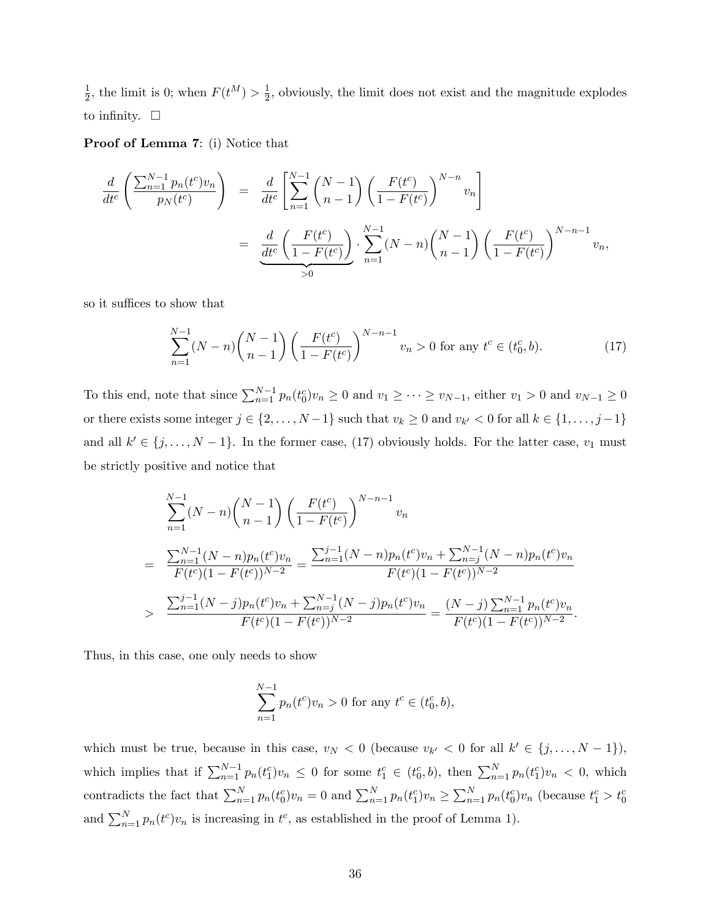1  $\frac{1}{2}$ , the limit is 0; when  $F(t^M) > \frac{1}{2}$  $\frac{1}{2}$ , obviously, the limit does not exist and the magnitude explodes to infinity.  $\Box$ 

Proof of Lemma [7](#page-28-0): (i) Notice that

$$
\frac{d}{dt^{c}}\left(\frac{\sum_{n=1}^{N-1}p_{n}(t^{c})v_{n}}{p_{N}(t^{c})}\right) = \frac{d}{dt^{c}}\left[\sum_{n=1}^{N-1}\binom{N-1}{n-1}\left(\frac{F(t^{c})}{1-F(t^{c})}\right)^{N-n}v_{n}\right]
$$
\n
$$
= \frac{d}{dt^{c}}\left(\frac{F(t^{c})}{1-F(t^{c})}\right) \cdot \sum_{n=1}^{N-1}(N-n)\binom{N-1}{n-1}\left(\frac{F(t^{c})}{1-F(t^{c})}\right)^{N-n-1}v_{n},
$$

so it suffices to show that

<span id="page-35-0"></span>
$$
\sum_{n=1}^{N-1} (N-n) \binom{N-1}{n-1} \left( \frac{F(t^c)}{1-F(t^c)} \right)^{N-n-1} v_n > 0 \text{ for any } t^c \in (t_0^c, b). \tag{17}
$$

To this end, note that since  $\sum_{n=1}^{N-1} p_n(t_0^c) v_n \ge 0$  and  $v_1 \ge \cdots \ge v_{N-1}$ , either  $v_1 > 0$  and  $v_{N-1} \ge 0$ or there exists some integer  $j \in \{2, ..., N-1\}$  such that  $v_k \ge 0$  and  $v_{k'} < 0$  for all  $k \in \{1, ..., j-1\}$ and all  $k' \in \{j, \ldots, N-1\}$ . In the former case, [\(17\)](#page-35-0) obviously holds. For the latter case,  $v_1$  must be strictly positive and notice that

$$
\sum_{n=1}^{N-1} (N-n) {N-1 \choose n-1} \left( \frac{F(t^c)}{1-F(t^c)} \right)^{N-n-1} v_n
$$
\n
$$
= \frac{\sum_{n=1}^{N-1} (N-n) p_n(t^c) v_n}{F(t^c) (1-F(t^c))^{N-2}} = \frac{\sum_{n=1}^{j-1} (N-n) p_n(t^c) v_n + \sum_{n=j}^{N-1} (N-n) p_n(t^c) v_n}{F(t^c) (1-F(t^c))^{N-2}}
$$
\n
$$
> \frac{\sum_{n=1}^{j-1} (N-j) p_n(t^c) v_n + \sum_{n=j}^{N-1} (N-j) p_n(t^c) v_n}{F(t^c) (1-F(t^c))^{N-2}} = \frac{(N-j) \sum_{n=1}^{N-1} p_n(t^c) v_n}{F(t^c) (1-F(t^c))^{N-2}}.
$$

Thus, in this case, one only needs to show

$$
\sum_{n=1}^{N-1} p_n(t^c) v_n > 0 \text{ for any } t^c \in (t_0^c, b),
$$

which must be true, because in this case,  $v_N < 0$  (because  $v_{k'} < 0$  for all  $k' \in \{j, ..., N-1\}$ ), which implies that if  $\sum_{n=1}^{N-1} p_n(t_1^c) v_n \leq 0$  for some  $t_1^c \in (t_0^c, b)$ , then  $\sum_{n=1}^{N} p_n(t_1^c) v_n < 0$ , which contradicts the fact that  $\sum_{n=1}^{N} p_n(t_0^c) v_n = 0$  and  $\sum_{n=1}^{N} p_n(t_1^c) v_n \ge \sum_{n=1}^{N} p_n(t_0^c) v_n$  (because  $t_1^c > t_0^c$ and  $\sum_{n=1}^{N} p_n(t^c) v_n$  is increasing in  $t^c$ , as established in the proof of Lemma [1\)](#page-8-0).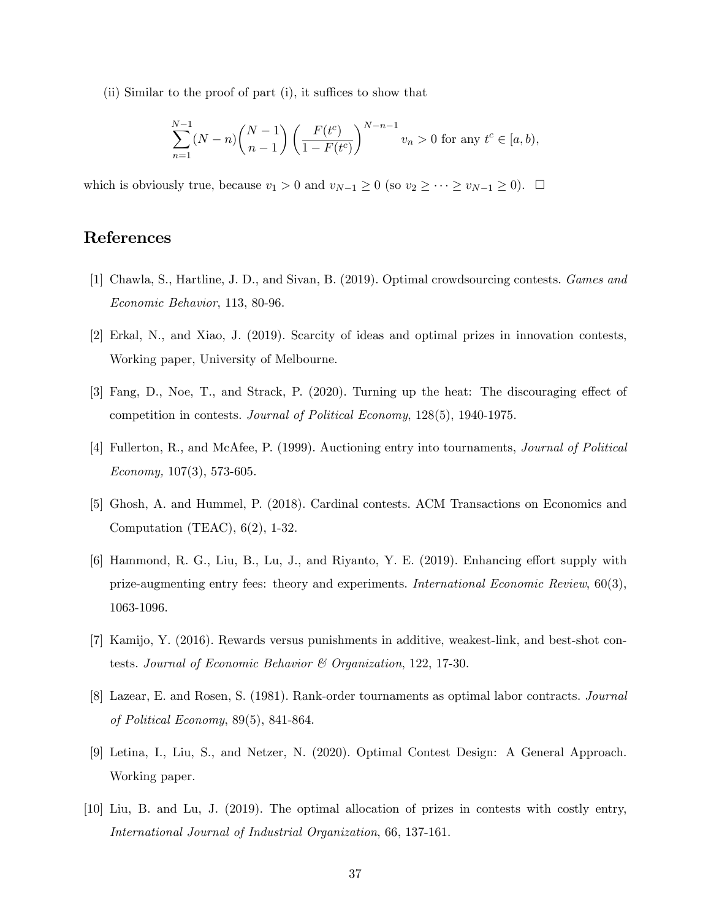(ii) Similar to the proof of part  $(i)$ , it suffices to show that

$$
\sum_{n=1}^{N-1} (N-n) \binom{N-1}{n-1} \left( \frac{F(t^c)}{1-F(t^c)} \right)^{N-n-1} v_n > 0 \text{ for any } t^c \in [a, b),
$$

which is obviously true, because  $v_1 > 0$  and  $v_{N-1} \ge 0$  (so  $v_2 \ge \cdots \ge v_{N-1} \ge 0$ ).  $\Box$ 

# References

- [1] Chawla, S., Hartline, J. D., and Sivan, B. (2019). Optimal crowdsourcing contests. Games and Economic Behavior, 113, 80-96.
- [2] Erkal, N., and Xiao, J. (2019). Scarcity of ideas and optimal prizes in innovation contests, Working paper, University of Melbourne.
- [3] Fang, D., Noe, T., and Strack, P. (2020). Turning up the heat: The discouraging effect of competition in contests. Journal of Political Economy, 128(5), 1940-1975.
- [4] Fullerton, R., and McAfee, P. (1999). Auctioning entry into tournaments, Journal of Political Economy,  $107(3)$ , 573-605.
- [5] Ghosh, A. and Hummel, P. (2018). Cardinal contests. ACM Transactions on Economics and Computation (TEAC), 6(2), 1-32.
- [6] Hammond, R. G., Liu, B., Lu, J., and Riyanto, Y. E. (2019). Enhancing effort supply with prize-augmenting entry fees: theory and experiments. International Economic Review, 60(3), 1063-1096.
- [7] Kamijo, Y. (2016). Rewards versus punishments in additive, weakest-link, and best-shot contests. Journal of Economic Behavior & Organization, 122, 17-30.
- [8] Lazear, E. and Rosen, S. (1981). Rank-order tournaments as optimal labor contracts. Journal of Political Economy, 89(5), 841-864.
- [9] Letina, I., Liu, S., and Netzer, N. (2020). Optimal Contest Design: A General Approach. Working paper.
- [10] Liu, B. and Lu, J. (2019). The optimal allocation of prizes in contests with costly entry, International Journal of Industrial Organization, 66, 137-161.